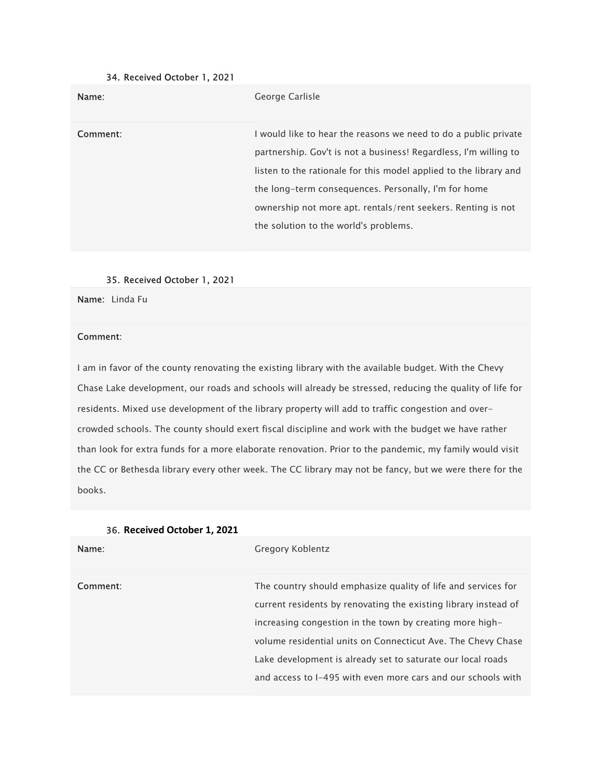## 34. Received October 1, 2021

| Name:    | George Carlisle                                                                                                                                                                                                                                                                                                                                                           |
|----------|---------------------------------------------------------------------------------------------------------------------------------------------------------------------------------------------------------------------------------------------------------------------------------------------------------------------------------------------------------------------------|
| Comment: | I would like to hear the reasons we need to do a public private<br>partnership. Gov't is not a business! Regardless, I'm willing to<br>listen to the rationale for this model applied to the library and<br>the long-term consequences. Personally, I'm for home<br>ownership not more apt. rentals/rent seekers. Renting is not<br>the solution to the world's problems. |

#### 35. Received October 1, 2021

Name: Linda Fu

## Comment:

I am in favor of the county renovating the existing library with the available budget. With the Chevy Chase Lake development, our roads and schools will already be stressed, reducing the quality of life for residents. Mixed use development of the library property will add to traffic congestion and overcrowded schools. The county should exert fiscal discipline and work with the budget we have rather than look for extra funds for a more elaborate renovation. Prior to the pandemic, my family would visit the CC or Bethesda library every other week. The CC library may not be fancy, but we were there for the books.

| Name:    | Gregory Koblentz                                                                                                                 |
|----------|----------------------------------------------------------------------------------------------------------------------------------|
| Comment: | The country should emphasize quality of life and services for<br>current residents by renovating the existing library instead of |
|          | increasing congestion in the town by creating more high-                                                                         |
|          | volume residential units on Connecticut Ave. The Chevy Chase<br>Lake development is already set to saturate our local roads      |
|          | and access to I-495 with even more cars and our schools with                                                                     |

## 36. Received October 1, 2021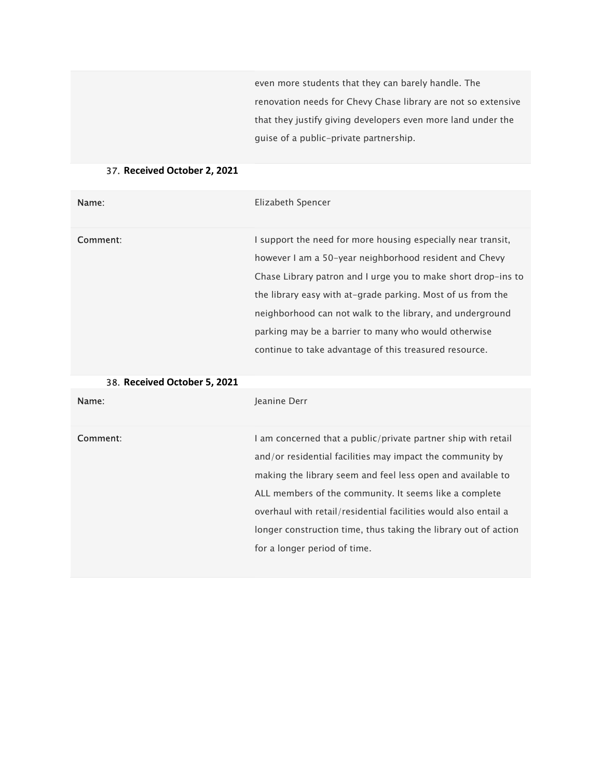even more students that they can barely handle. The renovation needs for Chevy Chase library are not so extensive that they justify giving developers even more land under the guise of a public-private partnership.

# 37. Received October 2, 2021

| Name:                        | Elizabeth Spencer                                                                                                                                                                                                                                                                                                                                                                                                                     |
|------------------------------|---------------------------------------------------------------------------------------------------------------------------------------------------------------------------------------------------------------------------------------------------------------------------------------------------------------------------------------------------------------------------------------------------------------------------------------|
| Comment:                     | I support the need for more housing especially near transit,<br>however I am a 50-year neighborhood resident and Chevy<br>Chase Library patron and I urge you to make short drop-ins to<br>the library easy with at-grade parking. Most of us from the<br>neighborhood can not walk to the library, and underground<br>parking may be a barrier to many who would otherwise<br>continue to take advantage of this treasured resource. |
| 38. Received October 5, 2021 |                                                                                                                                                                                                                                                                                                                                                                                                                                       |
| Name:                        | Jeanine Derr                                                                                                                                                                                                                                                                                                                                                                                                                          |
| Comment:                     | I am concerned that a public/private partner ship with retail<br>and/or residential facilities may impact the community by<br>making the library seem and feel less open and available to<br>ALL members of the community. It seems like a complete<br>overhaul with retail/residential facilities would also entail a<br>longer construction time, thus taking the library out of action<br>for a longer period of time.             |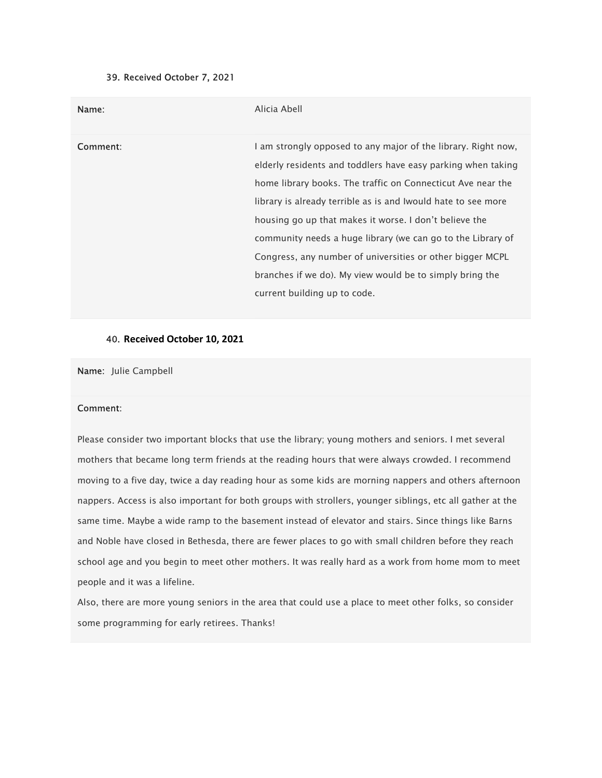## 39. Received October 7, 2021

| Name:    | Alicia Abell                                                                                                                                                                                                                                                                                                                                                                                                                                                                                                                                    |
|----------|-------------------------------------------------------------------------------------------------------------------------------------------------------------------------------------------------------------------------------------------------------------------------------------------------------------------------------------------------------------------------------------------------------------------------------------------------------------------------------------------------------------------------------------------------|
| Comment: | I am strongly opposed to any major of the library. Right now,<br>elderly residents and toddlers have easy parking when taking<br>home library books. The traffic on Connecticut Ave near the<br>library is already terrible as is and Iwould hate to see more<br>housing go up that makes it worse. I don't believe the<br>community needs a huge library (we can go to the Library of<br>Congress, any number of universities or other bigger MCPL<br>branches if we do). My view would be to simply bring the<br>current building up to code. |

#### 40. Received October 10, 2021

Name: Julie Campbell

## Comment:

Please consider two important blocks that use the library; young mothers and seniors. I met several mothers that became long term friends at the reading hours that were always crowded. I recommend moving to a five day, twice a day reading hour as some kids are morning nappers and others afternoon nappers. Access is also important for both groups with strollers, younger siblings, etc all gather at the same time. Maybe a wide ramp to the basement instead of elevator and stairs. Since things like Barns and Noble have closed in Bethesda, there are fewer places to go with small children before they reach school age and you begin to meet other mothers. It was really hard as a work from home mom to meet people and it was a lifeline.

Also, there are more young seniors in the area that could use a place to meet other folks, so consider some programming for early retirees. Thanks!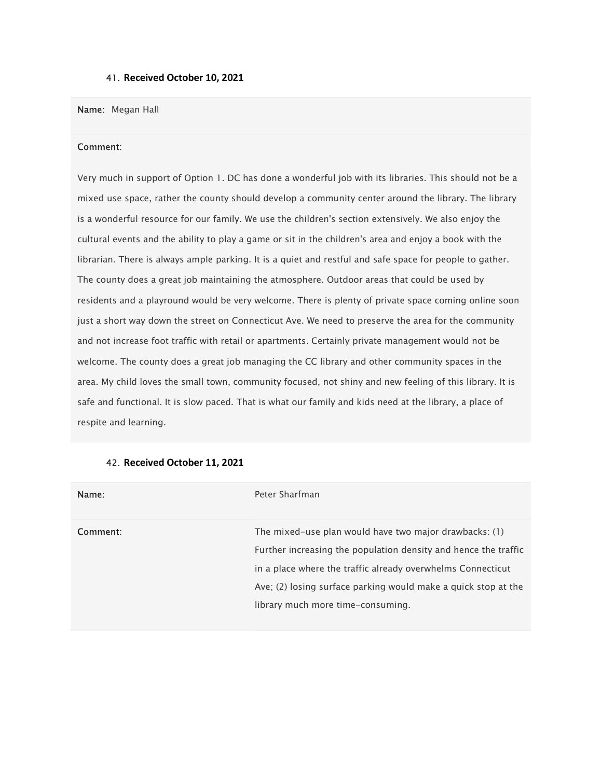### 41. Received October 10, 2021

#### Name: Megan Hall

#### Comment:

Very much in support of Option 1. DC has done a wonderful job with its libraries. This should not be a mixed use space, rather the county should develop a community center around the library. The library is a wonderful resource for our family. We use the children's section extensively. We also enjoy the cultural events and the ability to play a game or sit in the children's area and enjoy a book with the librarian. There is always ample parking. It is a quiet and restful and safe space for people to gather. The county does a great job maintaining the atmosphere. Outdoor areas that could be used by residents and a playround would be very welcome. There is plenty of private space coming online soon just a short way down the street on Connecticut Ave. We need to preserve the area for the community and not increase foot traffic with retail or apartments. Certainly private management would not be welcome. The county does a great job managing the CC library and other community spaces in the area. My child loves the small town, community focused, not shiny and new feeling of this library. It is safe and functional. It is slow paced. That is what our family and kids need at the library, a place of respite and learning.

| Peter Sharfman                                                  |
|-----------------------------------------------------------------|
| The mixed-use plan would have two major drawbacks: (1)          |
| Further increasing the population density and hence the traffic |
| in a place where the traffic already overwhelms Connecticut     |
| Ave; (2) losing surface parking would make a quick stop at the  |
| library much more time-consuming.                               |
|                                                                 |

#### 42. Received October 11, 2021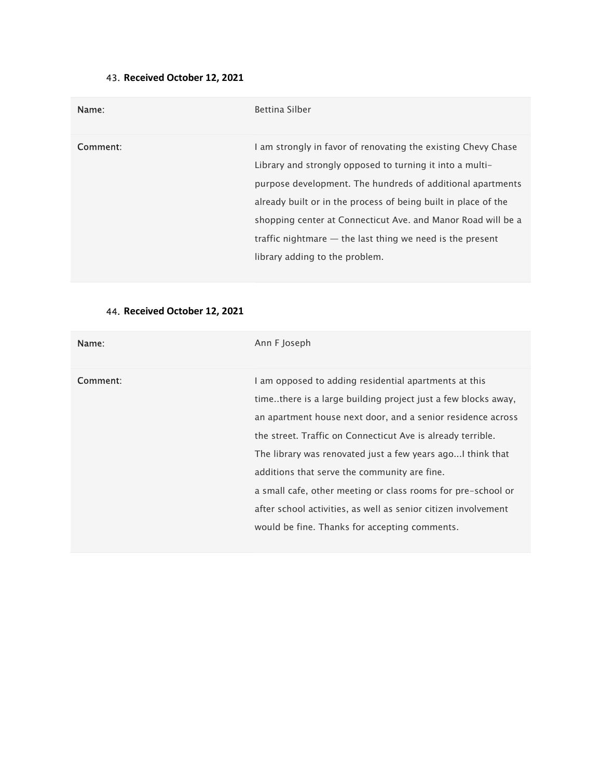# 43. Received October 12, 2021

| Name:    | <b>Bettina Silber</b>                                                                                                                                                                                                                                                                                                                                                                                                      |
|----------|----------------------------------------------------------------------------------------------------------------------------------------------------------------------------------------------------------------------------------------------------------------------------------------------------------------------------------------------------------------------------------------------------------------------------|
| Comment: | I am strongly in favor of renovating the existing Chevy Chase<br>Library and strongly opposed to turning it into a multi-<br>purpose development. The hundreds of additional apartments<br>already built or in the process of being built in place of the<br>shopping center at Connecticut Ave. and Manor Road will be a<br>traffic nightmare $-$ the last thing we need is the present<br>library adding to the problem. |

# 44. Received October 12, 2021

| Name:    | Ann F Joseph                                                                                                                                                                                                                                                                                                                                                                                                                                                                                                                                             |
|----------|----------------------------------------------------------------------------------------------------------------------------------------------------------------------------------------------------------------------------------------------------------------------------------------------------------------------------------------------------------------------------------------------------------------------------------------------------------------------------------------------------------------------------------------------------------|
| Comment: | I am opposed to adding residential apartments at this<br>time. there is a large building project just a few blocks away,<br>an apartment house next door, and a senior residence across<br>the street. Traffic on Connecticut Ave is already terrible.<br>The library was renovated just a few years ago I think that<br>additions that serve the community are fine.<br>a small cafe, other meeting or class rooms for pre-school or<br>after school activities, as well as senior citizen involvement<br>would be fine. Thanks for accepting comments. |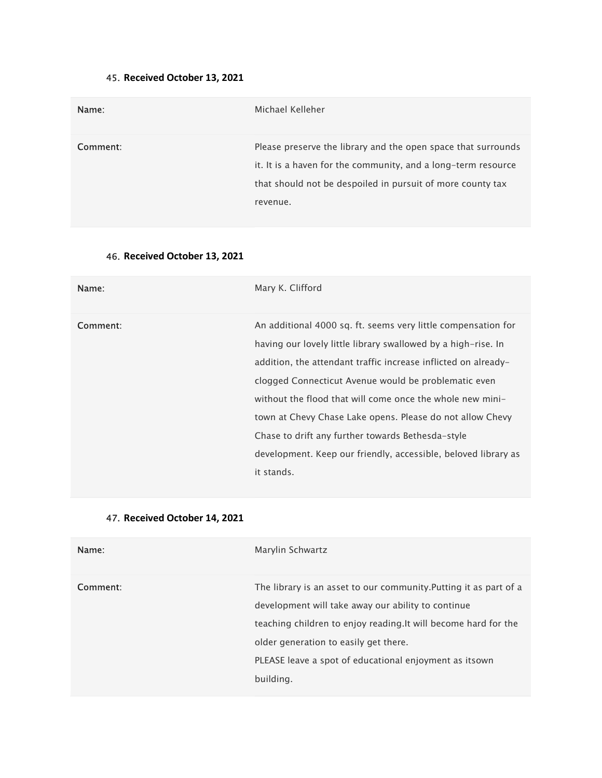# 45. Received October 13, 2021

| Name:    | Michael Kelleher                                                                                                                                                                                         |
|----------|----------------------------------------------------------------------------------------------------------------------------------------------------------------------------------------------------------|
| Comment: | Please preserve the library and the open space that surrounds<br>it. It is a haven for the community, and a long-term resource<br>that should not be despoiled in pursuit of more county tax<br>revenue. |

# 46. Received October 13, 2021

| Name:    | Mary K. Clifford                                                                                                                                                                                                                                                                                                                                                                                                                                                                                                        |
|----------|-------------------------------------------------------------------------------------------------------------------------------------------------------------------------------------------------------------------------------------------------------------------------------------------------------------------------------------------------------------------------------------------------------------------------------------------------------------------------------------------------------------------------|
| Comment: | An additional 4000 sq. ft. seems very little compensation for<br>having our lovely little library swallowed by a high-rise. In<br>addition, the attendant traffic increase inflicted on already-<br>clogged Connecticut Avenue would be problematic even<br>without the flood that will come once the whole new mini-<br>town at Chevy Chase Lake opens. Please do not allow Chevy<br>Chase to drift any further towards Bethesda-style<br>development. Keep our friendly, accessible, beloved library as<br>it stands. |

# 47. Received October 14, 2021

| Name:    | Marylin Schwartz                                                                                                                                                                                                                                                                                           |
|----------|------------------------------------------------------------------------------------------------------------------------------------------------------------------------------------------------------------------------------------------------------------------------------------------------------------|
| Comment: | The library is an asset to our community. Putting it as part of a<br>development will take away our ability to continue<br>teaching children to enjoy reading. It will become hard for the<br>older generation to easily get there.<br>PLEASE leave a spot of educational enjoyment as itsown<br>building. |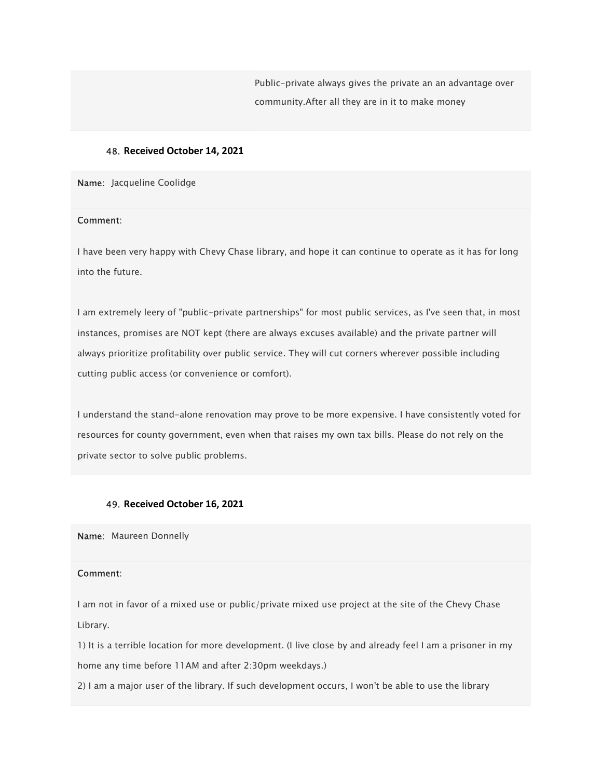Public-private always gives the private an an advantage over community.After all they are in it to make money

## 48. Received October 14, 2021

Name: Jacqueline Coolidge

#### Comment:

I have been very happy with Chevy Chase library, and hope it can continue to operate as it has for long into the future.

I am extremely leery of "public-private partnerships" for most public services, as I've seen that, in most instances, promises are NOT kept (there are always excuses available) and the private partner will always prioritize profitability over public service. They will cut corners wherever possible including cutting public access (or convenience or comfort).

I understand the stand-alone renovation may prove to be more expensive. I have consistently voted for resources for county government, even when that raises my own tax bills. Please do not rely on the private sector to solve public problems.

### 49. Received October 16, 2021

Name: Maureen Donnelly

#### Comment:

I am not in favor of a mixed use or public/private mixed use project at the site of the Chevy Chase Library.

1) It is a terrible location for more development. (I live close by and already feel I am a prisoner in my home any time before 11AM and after 2:30pm weekdays.)

2) I am a major user of the library. If such development occurs, I won't be able to use the library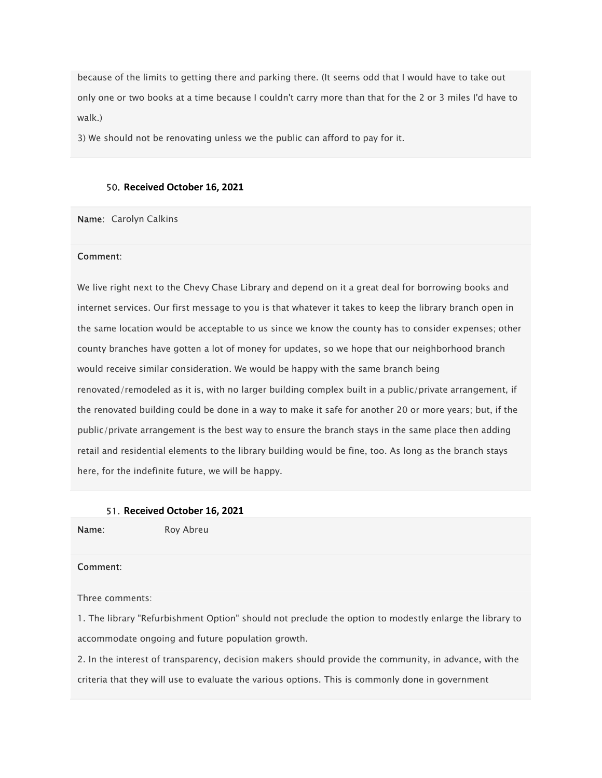because of the limits to getting there and parking there. (It seems odd that I would have to take out only one or two books at a time because I couldn't carry more than that for the 2 or 3 miles I'd have to walk.)

3) We should not be renovating unless we the public can afford to pay for it.

### 50. Received October 16, 2021

Name: Carolyn Calkins

#### Comment:

We live right next to the Chevy Chase Library and depend on it a great deal for borrowing books and internet services. Our first message to you is that whatever it takes to keep the library branch open in the same location would be acceptable to us since we know the county has to consider expenses; other county branches have gotten a lot of money for updates, so we hope that our neighborhood branch would receive similar consideration. We would be happy with the same branch being renovated/remodeled as it is, with no larger building complex built in a public/private arrangement, if the renovated building could be done in a way to make it safe for another 20 or more years; but, if the public/private arrangement is the best way to ensure the branch stays in the same place then adding retail and residential elements to the library building would be fine, too. As long as the branch stays here, for the indefinite future, we will be happy.

#### 51. Received October 16, 2021

Name: Roy Abreu

## Comment:

Three comments:

1. The library "Refurbishment Option" should not preclude the option to modestly enlarge the library to accommodate ongoing and future population growth.

2. In the interest of transparency, decision makers should provide the community, in advance, with the criteria that they will use to evaluate the various options. This is commonly done in government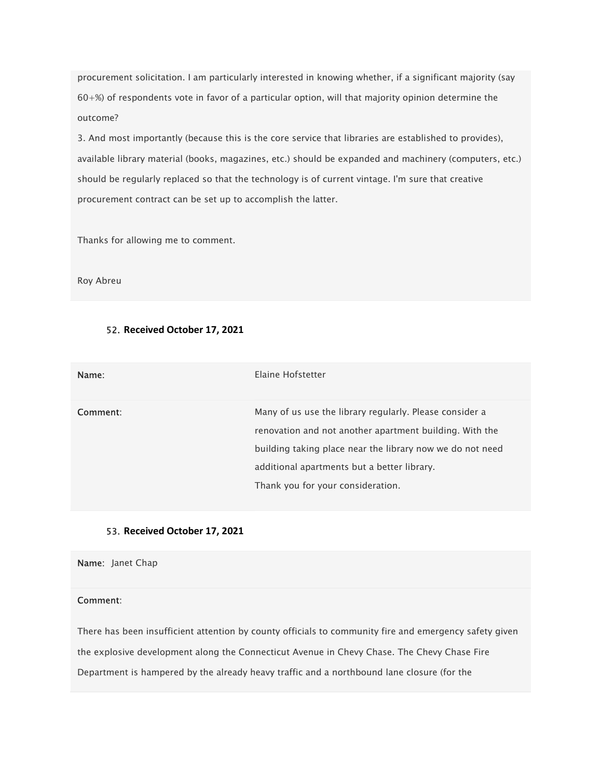procurement solicitation. I am particularly interested in knowing whether, if a significant majority (say 60+%) of respondents vote in favor of a particular option, will that majority opinion determine the outcome?

3. And most importantly (because this is the core service that libraries are established to provides), available library material (books, magazines, etc.) should be expanded and machinery (computers, etc.) should be regularly replaced so that the technology is of current vintage. I'm sure that creative procurement contract can be set up to accomplish the latter.

Thanks for allowing me to comment.

Roy Abreu

## 52. Received October 17, 2021

| Name:    | Elaine Hofstetter                                                                                                                                                                                                                                                   |
|----------|---------------------------------------------------------------------------------------------------------------------------------------------------------------------------------------------------------------------------------------------------------------------|
| Comment: | Many of us use the library regularly. Please consider a<br>renovation and not another apartment building. With the<br>building taking place near the library now we do not need<br>additional apartments but a better library.<br>Thank you for your consideration. |

## 53. Received October 17, 2021

Name: Janet Chap

### Comment:

There has been insufficient attention by county officials to community fire and emergency safety given the explosive development along the Connecticut Avenue in Chevy Chase. The Chevy Chase Fire Department is hampered by the already heavy traffic and a northbound lane closure (for the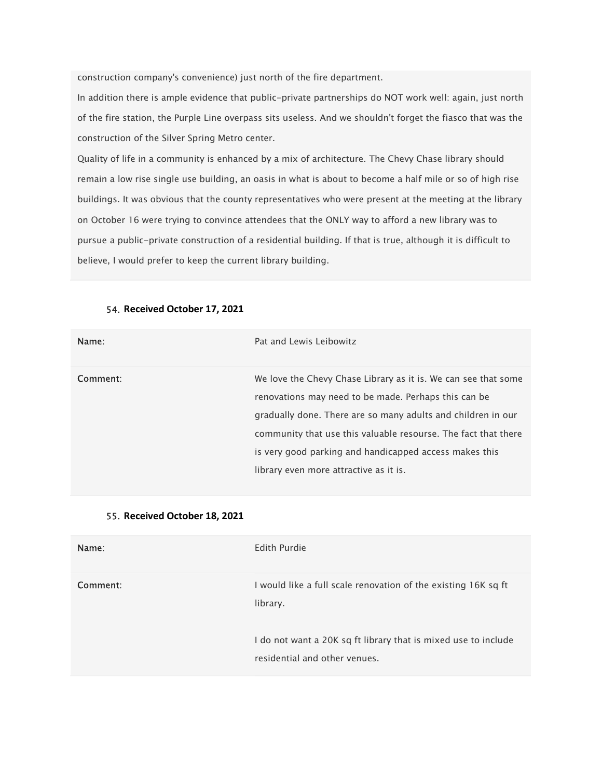construction company's convenience) just north of the fire department.

In addition there is ample evidence that public-private partnerships do NOT work well: again, just north of the fire station, the Purple Line overpass sits useless. And we shouldn't forget the fiasco that was the construction of the Silver Spring Metro center.

Quality of life in a community is enhanced by a mix of architecture. The Chevy Chase library should remain a low rise single use building, an oasis in what is about to become a half mile or so of high rise buildings. It was obvious that the county representatives who were present at the meeting at the library on October 16 were trying to convince attendees that the ONLY way to afford a new library was to pursue a public-private construction of a residential building. If that is true, although it is difficult to believe, I would prefer to keep the current library building.

| Name:    | Pat and Lewis Leibowitz                                                                                                                                                                                                                                                                                                                                      |
|----------|--------------------------------------------------------------------------------------------------------------------------------------------------------------------------------------------------------------------------------------------------------------------------------------------------------------------------------------------------------------|
| Comment: | We love the Chevy Chase Library as it is. We can see that some<br>renovations may need to be made. Perhaps this can be<br>gradually done. There are so many adults and children in our<br>community that use this valuable resourse. The fact that there<br>is very good parking and handicapped access makes this<br>library even more attractive as it is. |

#### 54. Received October 17, 2021

## 55. Received October 18, 2021

| Name:    | Edith Purdie                                                                                    |
|----------|-------------------------------------------------------------------------------------------------|
| Comment: | I would like a full scale renovation of the existing 16K sq ft<br>library.                      |
|          | I do not want a 20K sq ft library that is mixed use to include<br>residential and other venues. |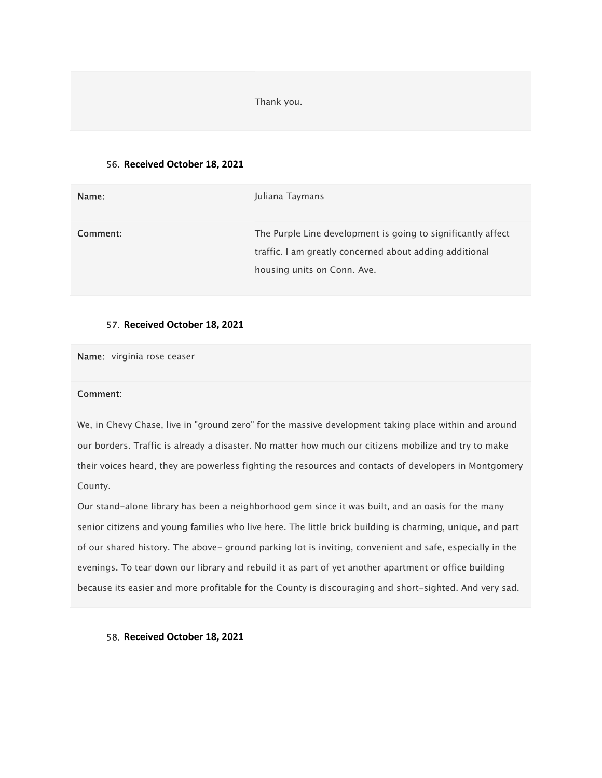Thank you.

#### 56. Received October 18, 2021

| Name:    | Juliana Taymans                                                                                                                                        |
|----------|--------------------------------------------------------------------------------------------------------------------------------------------------------|
| Comment: | The Purple Line development is going to significantly affect<br>traffic. I am greatly concerned about adding additional<br>housing units on Conn. Ave. |

## 57. Received October 18, 2021

Name: virginia rose ceaser

#### Comment:

We, in Chevy Chase, live in "ground zero" for the massive development taking place within and around our borders. Traffic is already a disaster. No matter how much our citizens mobilize and try to make their voices heard, they are powerless fighting the resources and contacts of developers in Montgomery County.

Our stand-alone library has been a neighborhood gem since it was built, and an oasis for the many senior citizens and young families who live here. The little brick building is charming, unique, and part of our shared history. The above- ground parking lot is inviting, convenient and safe, especially in the evenings. To tear down our library and rebuild it as part of yet another apartment or office building because its easier and more profitable for the County is discouraging and short-sighted. And very sad.

58. Received October 18, 2021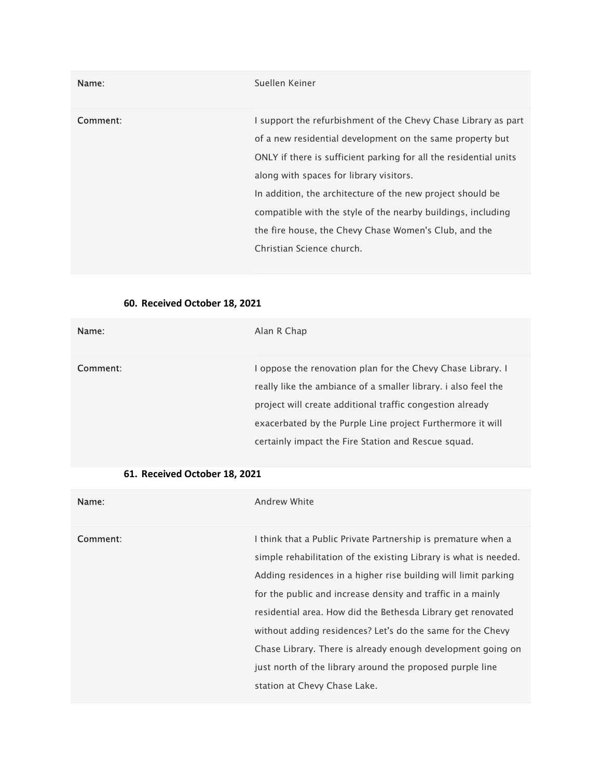| Name:    | Suellen Keiner                                                                                                                                                                                                                                                                                                                                                                                                                                                  |
|----------|-----------------------------------------------------------------------------------------------------------------------------------------------------------------------------------------------------------------------------------------------------------------------------------------------------------------------------------------------------------------------------------------------------------------------------------------------------------------|
| Comment: | I support the refurbishment of the Chevy Chase Library as part<br>of a new residential development on the same property but<br>ONLY if there is sufficient parking for all the residential units<br>along with spaces for library visitors.<br>In addition, the architecture of the new project should be<br>compatible with the style of the nearby buildings, including<br>the fire house, the Chevy Chase Women's Club, and the<br>Christian Science church. |

# 60. Received October 18, 2021

| Name:    | Alan R Chap                                                                                                                                                                                                                                                                                                     |
|----------|-----------------------------------------------------------------------------------------------------------------------------------------------------------------------------------------------------------------------------------------------------------------------------------------------------------------|
| Comment: | I oppose the renovation plan for the Chevy Chase Library. I<br>really like the ambiance of a smaller library, i also feel the<br>project will create additional traffic congestion already<br>exacerbated by the Purple Line project Furthermore it will<br>certainly impact the Fire Station and Rescue squad. |

# 61. Received October 18, 2021

| Name:    | Andrew White                                                     |
|----------|------------------------------------------------------------------|
| Comment: | I think that a Public Private Partnership is premature when a    |
|          | simple rehabilitation of the existing Library is what is needed. |
|          | Adding residences in a higher rise building will limit parking   |
|          | for the public and increase density and traffic in a mainly      |
|          | residential area. How did the Bethesda Library get renovated     |
|          | without adding residences? Let's do the same for the Chevy       |
|          | Chase Library. There is already enough development going on      |
|          | just north of the library around the proposed purple line        |
|          | station at Chevy Chase Lake.                                     |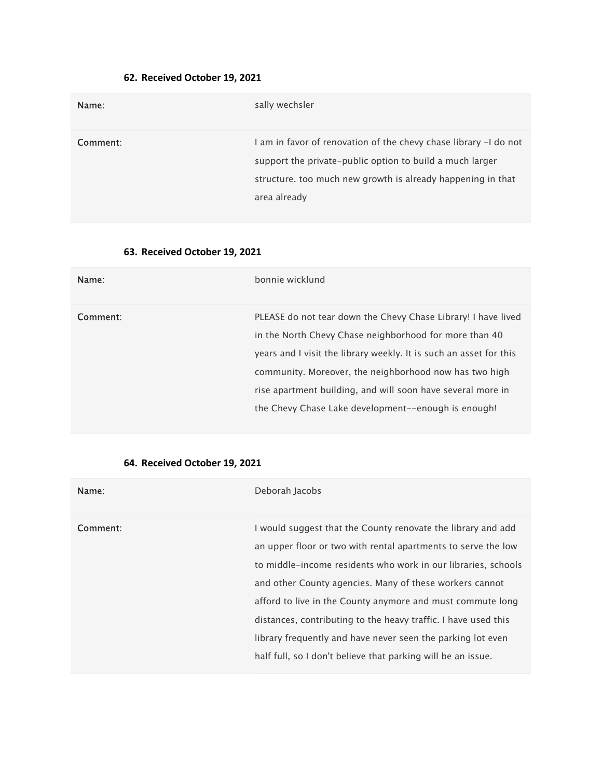# 62. Received October 19, 2021

| Name:    | sally wechsler                                                                                                                                                                                              |
|----------|-------------------------------------------------------------------------------------------------------------------------------------------------------------------------------------------------------------|
| Comment: | I am in favor of renovation of the chevy chase library -I do not<br>support the private-public option to build a much larger<br>structure. too much new growth is already happening in that<br>area already |

# 63. Received October 19, 2021

| Name:    | bonnie wicklund                                                                                                                                                                                                                                                                                                                                                               |
|----------|-------------------------------------------------------------------------------------------------------------------------------------------------------------------------------------------------------------------------------------------------------------------------------------------------------------------------------------------------------------------------------|
| Comment: | PLEASE do not tear down the Chevy Chase Library! I have lived<br>in the North Chevy Chase neighborhood for more than 40<br>years and I visit the library weekly. It is such an asset for this<br>community. Moreover, the neighborhood now has two high<br>rise apartment building, and will soon have several more in<br>the Chevy Chase Lake development--enough is enough! |

# 64. Received October 19, 2021

| Name:    | Deborah Jacobs                                                                                                                                                                                                                                                                                                                                                                                                                                                                                                           |
|----------|--------------------------------------------------------------------------------------------------------------------------------------------------------------------------------------------------------------------------------------------------------------------------------------------------------------------------------------------------------------------------------------------------------------------------------------------------------------------------------------------------------------------------|
| Comment: | I would suggest that the County renovate the library and add<br>an upper floor or two with rental apartments to serve the low<br>to middle-income residents who work in our libraries, schools<br>and other County agencies. Many of these workers cannot<br>afford to live in the County anymore and must commute long<br>distances, contributing to the heavy traffic. I have used this<br>library frequently and have never seen the parking lot even<br>half full, so I don't believe that parking will be an issue. |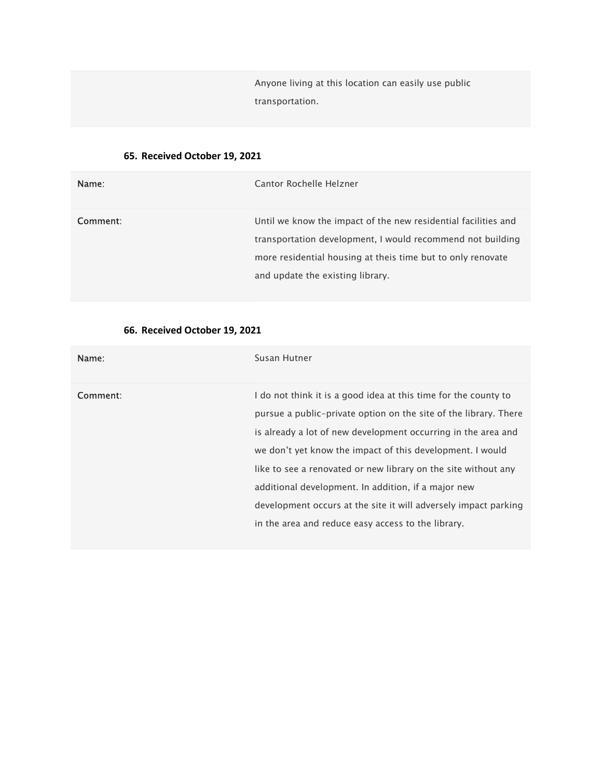Anyone living at this location can easily use public transportation.

# 65. Received October 19, 2021

| Name:    | Cantor Rochelle Helzner                                                                                                                                                                                                         |
|----------|---------------------------------------------------------------------------------------------------------------------------------------------------------------------------------------------------------------------------------|
| Comment: | Until we know the impact of the new residential facilities and<br>transportation development, I would recommend not building<br>more residential housing at theis time but to only renovate<br>and update the existing library. |

# 66. Received October 19, 2021

| Name:    | Susan Hutner                                                                                                                                                                                                                                                                                                                                                                                                                                                                                                        |
|----------|---------------------------------------------------------------------------------------------------------------------------------------------------------------------------------------------------------------------------------------------------------------------------------------------------------------------------------------------------------------------------------------------------------------------------------------------------------------------------------------------------------------------|
| Comment: | I do not think it is a good idea at this time for the county to<br>pursue a public-private option on the site of the library. There<br>is already a lot of new development occurring in the area and<br>we don't yet know the impact of this development. I would<br>like to see a renovated or new library on the site without any<br>additional development. In addition, if a major new<br>development occurs at the site it will adversely impact parking<br>in the area and reduce easy access to the library. |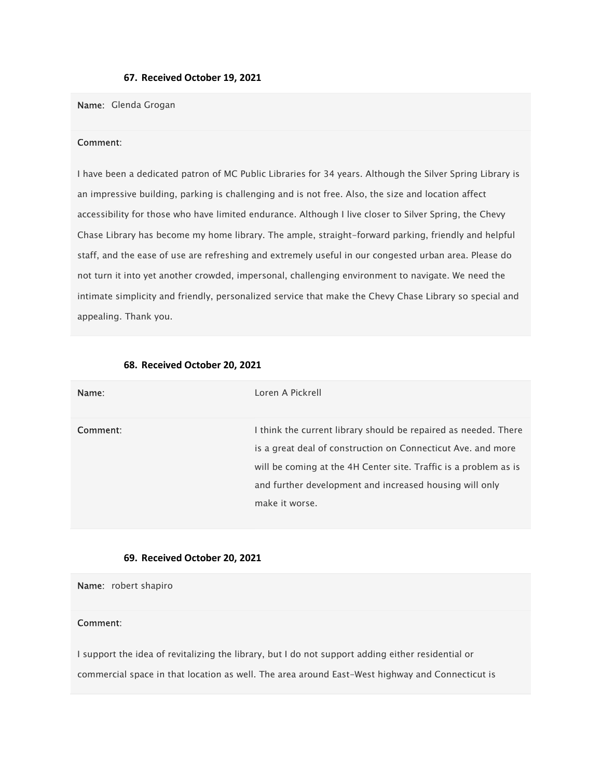#### 67. Received October 19, 2021

### Name: Glenda Grogan

#### Comment:

I have been a dedicated patron of MC Public Libraries for 34 years. Although the Silver Spring Library is an impressive building, parking is challenging and is not free. Also, the size and location affect accessibility for those who have limited endurance. Although I live closer to Silver Spring, the Chevy Chase Library has become my home library. The ample, straight-forward parking, friendly and helpful staff, and the ease of use are refreshing and extremely useful in our congested urban area. Please do not turn it into yet another crowded, impersonal, challenging environment to navigate. We need the intimate simplicity and friendly, personalized service that make the Chevy Chase Library so special and appealing. Thank you.

| Name:    | Loren A Pickrell                                                                                                                                                                                                                                                                 |
|----------|----------------------------------------------------------------------------------------------------------------------------------------------------------------------------------------------------------------------------------------------------------------------------------|
| Comment: | I think the current library should be repaired as needed. There<br>is a great deal of construction on Connecticut Ave. and more<br>will be coming at the 4H Center site. Traffic is a problem as is<br>and further development and increased housing will only<br>make it worse. |

### 68. Received October 20, 2021

### 69. Received October 20, 2021

Name: robert shapiro

## Comment:

I support the idea of revitalizing the library, but I do not support adding either residential or commercial space in that location as well. The area around East-West highway and Connecticut is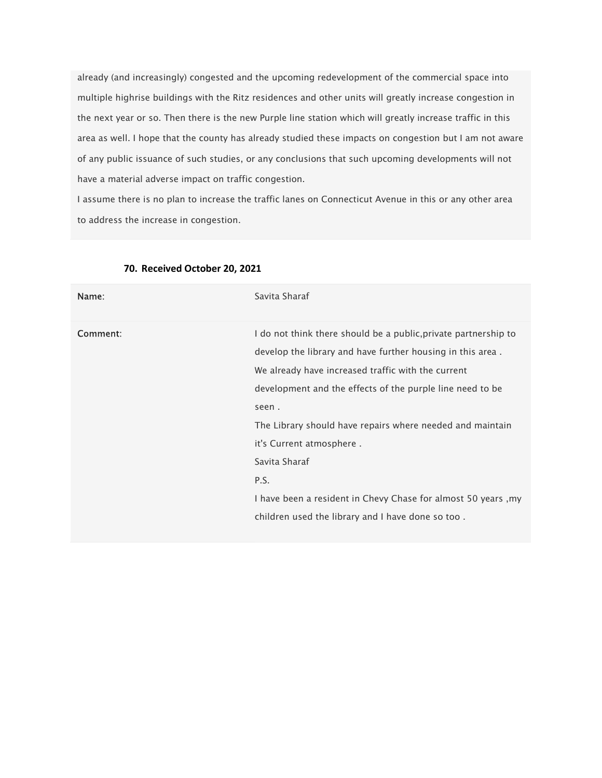already (and increasingly) congested and the upcoming redevelopment of the commercial space into multiple highrise buildings with the Ritz residences and other units will greatly increase congestion in the next year or so. Then there is the new Purple line station which will greatly increase traffic in this area as well. I hope that the county has already studied these impacts on congestion but I am not aware of any public issuance of such studies, or any conclusions that such upcoming developments will not have a material adverse impact on traffic congestion.

I assume there is no plan to increase the traffic lanes on Connecticut Avenue in this or any other area to address the increase in congestion.

| Name:    | Savita Sharaf                                                                                                                                                                                                                                                                                                                                                                                                                                                                                     |
|----------|---------------------------------------------------------------------------------------------------------------------------------------------------------------------------------------------------------------------------------------------------------------------------------------------------------------------------------------------------------------------------------------------------------------------------------------------------------------------------------------------------|
| Comment: | I do not think there should be a public, private partnership to<br>develop the library and have further housing in this area.<br>We already have increased traffic with the current<br>development and the effects of the purple line need to be<br>seen.<br>The Library should have repairs where needed and maintain<br>it's Current atmosphere.<br>Savita Sharaf<br>P.S.<br>I have been a resident in Chevy Chase for almost 50 years, my<br>children used the library and I have done so too. |

#### 70. Received October 20, 2021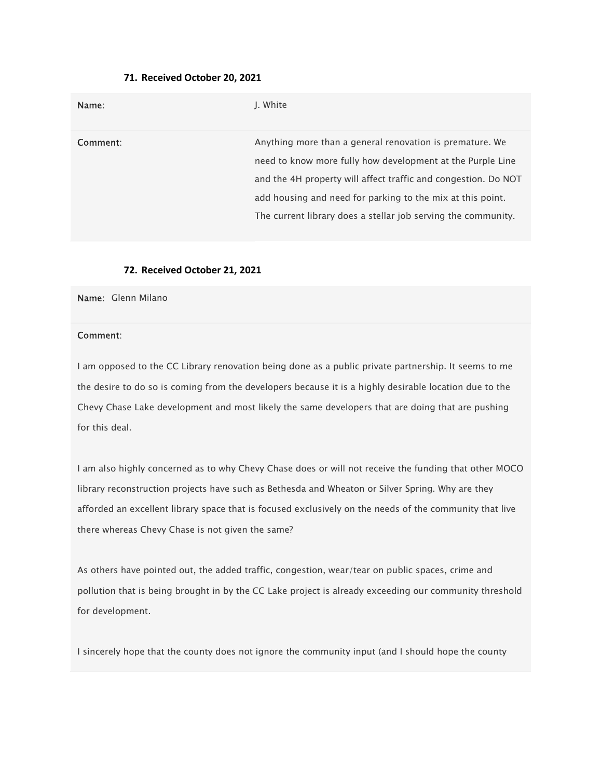### 71. Received October 20, 2021

| Name:    | J. White                                                                                                                                                                                                                                                                                                                |
|----------|-------------------------------------------------------------------------------------------------------------------------------------------------------------------------------------------------------------------------------------------------------------------------------------------------------------------------|
| Comment: | Anything more than a general renovation is premature. We<br>need to know more fully how development at the Purple Line<br>and the 4H property will affect traffic and congestion. Do NOT<br>add housing and need for parking to the mix at this point.<br>The current library does a stellar job serving the community. |

### 72. Received October 21, 2021

Name: Glenn Milano

## Comment:

I am opposed to the CC Library renovation being done as a public private partnership. It seems to me the desire to do so is coming from the developers because it is a highly desirable location due to the Chevy Chase Lake development and most likely the same developers that are doing that are pushing for this deal.

I am also highly concerned as to why Chevy Chase does or will not receive the funding that other MOCO library reconstruction projects have such as Bethesda and Wheaton or Silver Spring. Why are they afforded an excellent library space that is focused exclusively on the needs of the community that live there whereas Chevy Chase is not given the same?

As others have pointed out, the added traffic, congestion, wear/tear on public spaces, crime and pollution that is being brought in by the CC Lake project is already exceeding our community threshold for development.

I sincerely hope that the county does not ignore the community input (and I should hope the county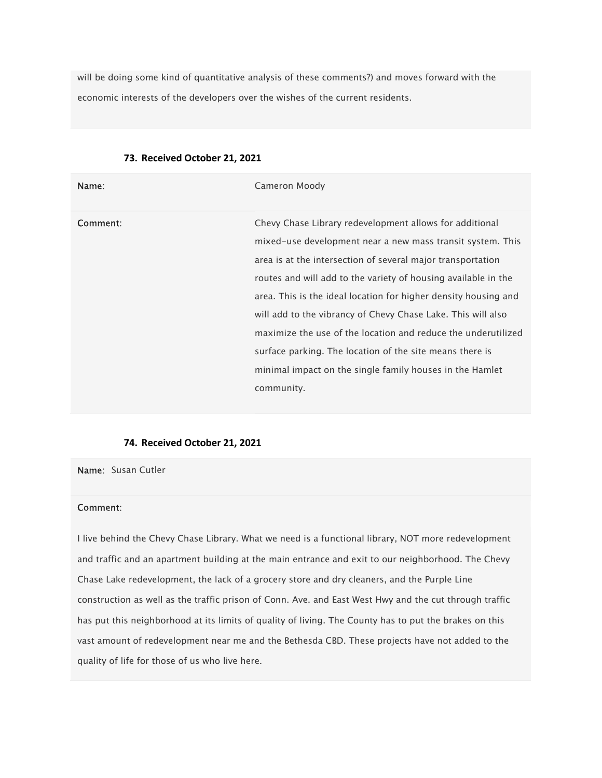will be doing some kind of quantitative analysis of these comments?) and moves forward with the economic interests of the developers over the wishes of the current residents.

| Name:    | Cameron Moody                                                                                                                                                                                                                                                                                                                                                                                                                                                                                                                                                                                    |
|----------|--------------------------------------------------------------------------------------------------------------------------------------------------------------------------------------------------------------------------------------------------------------------------------------------------------------------------------------------------------------------------------------------------------------------------------------------------------------------------------------------------------------------------------------------------------------------------------------------------|
| Comment: | Chevy Chase Library redevelopment allows for additional<br>mixed-use development near a new mass transit system. This<br>area is at the intersection of several major transportation<br>routes and will add to the variety of housing available in the<br>area. This is the ideal location for higher density housing and<br>will add to the vibrancy of Chevy Chase Lake. This will also<br>maximize the use of the location and reduce the underutilized<br>surface parking. The location of the site means there is<br>minimal impact on the single family houses in the Hamlet<br>community. |

### 73. Received October 21, 2021

#### 74. Received October 21, 2021

Name: Susan Cutler

## Comment:

I live behind the Chevy Chase Library. What we need is a functional library, NOT more redevelopment and traffic and an apartment building at the main entrance and exit to our neighborhood. The Chevy Chase Lake redevelopment, the lack of a grocery store and dry cleaners, and the Purple Line construction as well as the traffic prison of Conn. Ave. and East West Hwy and the cut through traffic has put this neighborhood at its limits of quality of living. The County has to put the brakes on this vast amount of redevelopment near me and the Bethesda CBD. These projects have not added to the quality of life for those of us who live here.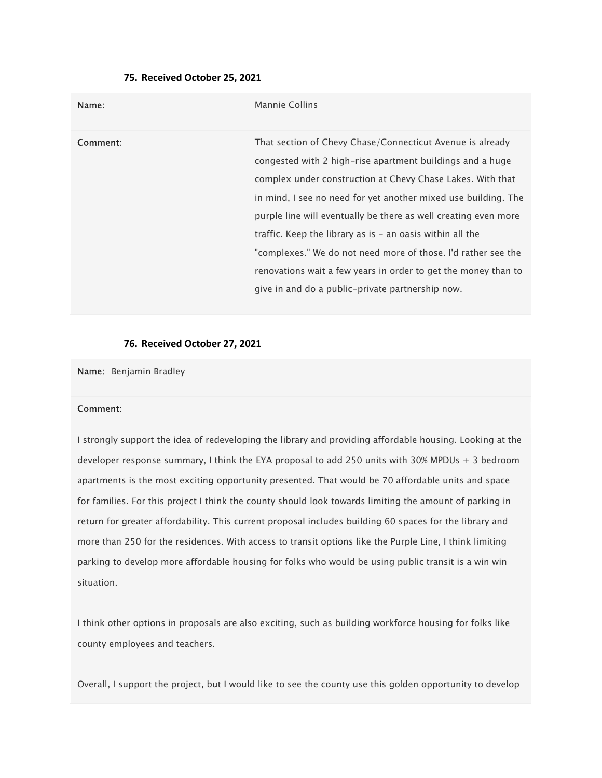### 75. Received October 25, 2021

| Name:    | Mannie Collins                                                                                                                                                                                                                                                                                                                                                                                                                                                                                                                                                                  |
|----------|---------------------------------------------------------------------------------------------------------------------------------------------------------------------------------------------------------------------------------------------------------------------------------------------------------------------------------------------------------------------------------------------------------------------------------------------------------------------------------------------------------------------------------------------------------------------------------|
| Comment: | That section of Chevy Chase/Connecticut Avenue is already<br>congested with 2 high-rise apartment buildings and a huge<br>complex under construction at Chevy Chase Lakes. With that<br>in mind, I see no need for yet another mixed use building. The<br>purple line will eventually be there as well creating even more<br>traffic. Keep the library as is $-$ an oasis within all the<br>"complexes." We do not need more of those. I'd rather see the<br>renovations wait a few years in order to get the money than to<br>give in and do a public-private partnership now. |

### 76. Received October 27, 2021

Name: Benjamin Bradley

#### Comment:

I strongly support the idea of redeveloping the library and providing affordable housing. Looking at the developer response summary, I think the EYA proposal to add 250 units with 30% MPDUs + 3 bedroom apartments is the most exciting opportunity presented. That would be 70 affordable units and space for families. For this project I think the county should look towards limiting the amount of parking in return for greater affordability. This current proposal includes building 60 spaces for the library and more than 250 for the residences. With access to transit options like the Purple Line, I think limiting parking to develop more affordable housing for folks who would be using public transit is a win win situation.

I think other options in proposals are also exciting, such as building workforce housing for folks like county employees and teachers.

Overall, I support the project, but I would like to see the county use this golden opportunity to develop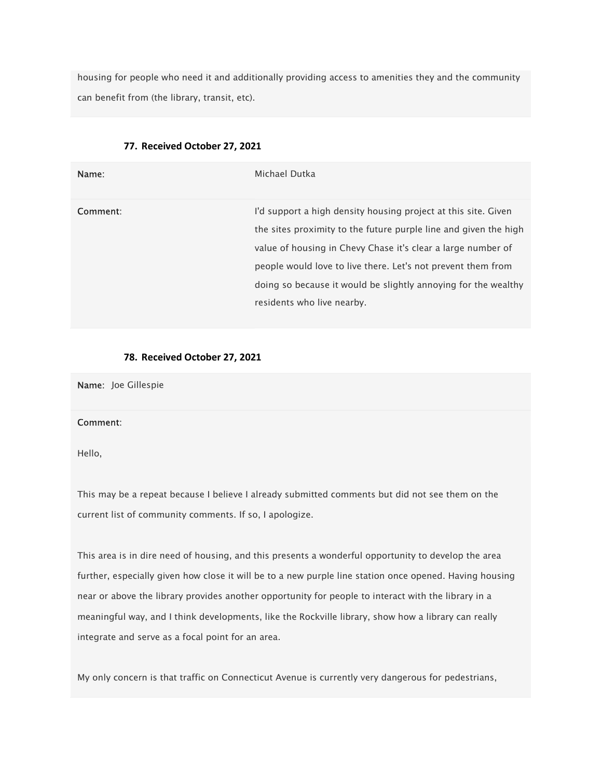housing for people who need it and additionally providing access to amenities they and the community can benefit from (the library, transit, etc).

| Name:    | Michael Dutka                                                                                                                                                                                                                                                                                                                                                      |
|----------|--------------------------------------------------------------------------------------------------------------------------------------------------------------------------------------------------------------------------------------------------------------------------------------------------------------------------------------------------------------------|
| Comment: | I'd support a high density housing project at this site. Given<br>the sites proximity to the future purple line and given the high<br>value of housing in Chevy Chase it's clear a large number of<br>people would love to live there. Let's not prevent them from<br>doing so because it would be slightly annoying for the wealthy<br>residents who live nearby. |

## 77. Received October 27, 2021

## 78. Received October 27, 2021

Name: Joe Gillespie

### Comment:

Hello,

This may be a repeat because I believe I already submitted comments but did not see them on the current list of community comments. If so, I apologize.

This area is in dire need of housing, and this presents a wonderful opportunity to develop the area further, especially given how close it will be to a new purple line station once opened. Having housing near or above the library provides another opportunity for people to interact with the library in a meaningful way, and I think developments, like the Rockville library, show how a library can really integrate and serve as a focal point for an area.

My only concern is that traffic on Connecticut Avenue is currently very dangerous for pedestrians,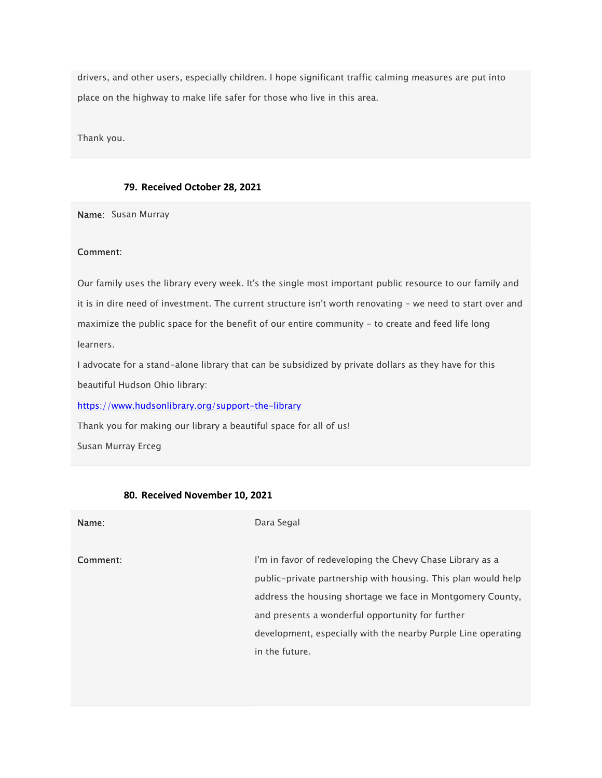drivers, and other users, especially children. I hope significant traffic calming measures are put into place on the highway to make life safer for those who live in this area.

Thank you.

### 79. Received October 28, 2021

Name: Susan Murray

#### Comment:

Our family uses the library every week. It's the single most important public resource to our family and it is in dire need of investment. The current structure isn't worth renovating - we need to start over and maximize the public space for the benefit of our entire community - to create and feed life long learners.

I advocate for a stand-alone library that can be subsidized by private dollars as they have for this beautiful Hudson Ohio library:

https://www.hudsonlibrary.org/support-the-library

Thank you for making our library a beautiful space for all of us!

Susan Murray Erceg

| Name:    | Dara Segal                                                                                                                                                                                                                                                                                                                      |
|----------|---------------------------------------------------------------------------------------------------------------------------------------------------------------------------------------------------------------------------------------------------------------------------------------------------------------------------------|
| Comment: | I'm in favor of redeveloping the Chevy Chase Library as a<br>public-private partnership with housing. This plan would help<br>address the housing shortage we face in Montgomery County.<br>and presents a wonderful opportunity for further<br>development, especially with the nearby Purple Line operating<br>in the future. |

### 80. Received November 10, 2021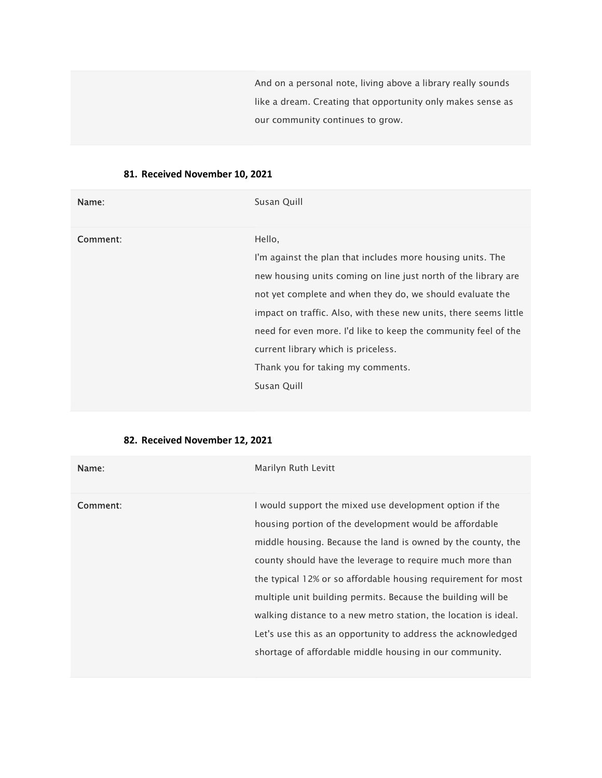And on a personal note, living above a library really sounds like a dream. Creating that opportunity only makes sense as our community continues to grow.

# 81. Received November 10, 2021

| Name:    | Susan Quill                                                       |
|----------|-------------------------------------------------------------------|
| Comment: | Hello,                                                            |
|          | I'm against the plan that includes more housing units. The        |
|          | new housing units coming on line just north of the library are    |
|          | not yet complete and when they do, we should evaluate the         |
|          | impact on traffic. Also, with these new units, there seems little |
|          | need for even more. I'd like to keep the community feel of the    |
|          | current library which is priceless.                               |
|          | Thank you for taking my comments.                                 |
|          | Susan Quill                                                       |
|          |                                                                   |

# 82. Received November 12, 2021

| Name:    | Marilyn Ruth Levitt                                                                                                                                                                                                                                                                                                                                                                                                                                                                                                                                                           |
|----------|-------------------------------------------------------------------------------------------------------------------------------------------------------------------------------------------------------------------------------------------------------------------------------------------------------------------------------------------------------------------------------------------------------------------------------------------------------------------------------------------------------------------------------------------------------------------------------|
| Comment: | I would support the mixed use development option if the<br>housing portion of the development would be affordable<br>middle housing. Because the land is owned by the county, the<br>county should have the leverage to require much more than<br>the typical 12% or so affordable housing requirement for most<br>multiple unit building permits. Because the building will be<br>walking distance to a new metro station, the location is ideal.<br>Let's use this as an opportunity to address the acknowledged<br>shortage of affordable middle housing in our community. |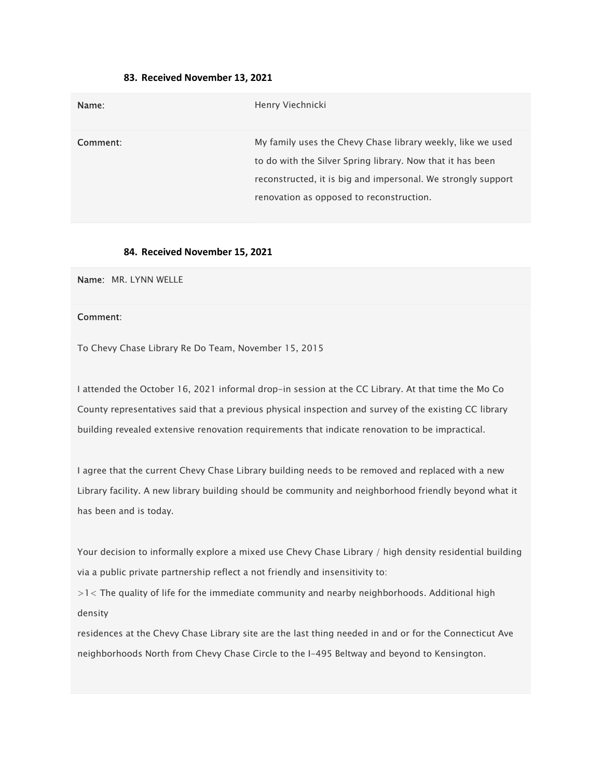### 83. Received November 13, 2021

| Name:    | Henry Viechnicki                                                                                                                                                                                                                      |
|----------|---------------------------------------------------------------------------------------------------------------------------------------------------------------------------------------------------------------------------------------|
| Comment: | My family uses the Chevy Chase library weekly, like we used<br>to do with the Silver Spring library. Now that it has been<br>reconstructed, it is big and impersonal. We strongly support<br>renovation as opposed to reconstruction. |

#### 84. Received November 15, 2021

Name: MR. LYNN WELLE

#### Comment:

To Chevy Chase Library Re Do Team, November 15, 2015

I attended the October 16, 2021 informal drop-in session at the CC Library. At that time the Mo Co County representatives said that a previous physical inspection and survey of the existing CC library building revealed extensive renovation requirements that indicate renovation to be impractical.

I agree that the current Chevy Chase Library building needs to be removed and replaced with a new Library facility. A new library building should be community and neighborhood friendly beyond what it has been and is today.

Your decision to informally explore a mixed use Chevy Chase Library / high density residential building via a public private partnership reflect a not friendly and insensitivity to:

>1< The quality of life for the immediate community and nearby neighborhoods. Additional high density

residences at the Chevy Chase Library site are the last thing needed in and or for the Connecticut Ave neighborhoods North from Chevy Chase Circle to the I-495 Beltway and beyond to Kensington.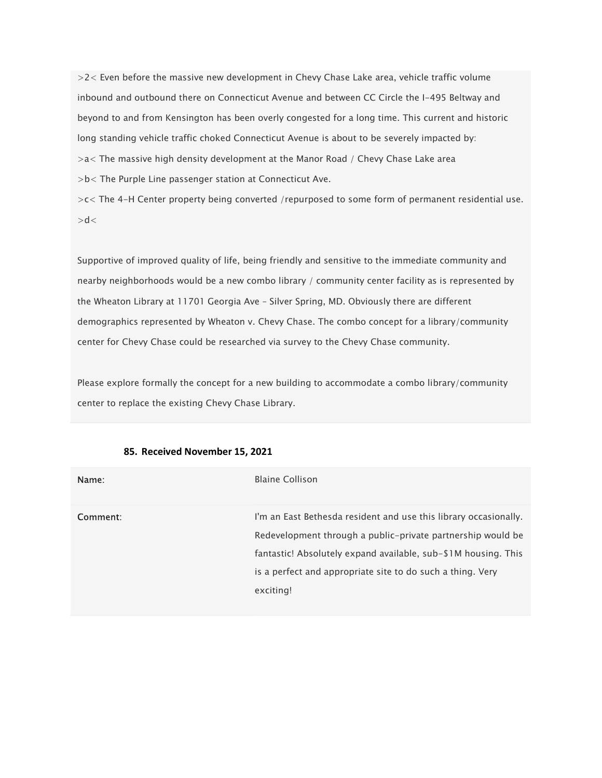>2< Even before the massive new development in Chevy Chase Lake area, vehicle traffic volume inbound and outbound there on Connecticut Avenue and between CC Circle the I-495 Beltway and beyond to and from Kensington has been overly congested for a long time. This current and historic long standing vehicle traffic choked Connecticut Avenue is about to be severely impacted by: >a< The massive high density development at the Manor Road / Chevy Chase Lake area >b< The Purple Line passenger station at Connecticut Ave. >c< The 4-H Center property being converted /repurposed to some form of permanent residential use.

 $> d <$ 

Supportive of improved quality of life, being friendly and sensitive to the immediate community and nearby neighborhoods would be a new combo library / community center facility as is represented by the Wheaton Library at 11701 Georgia Ave – Silver Spring, MD. Obviously there are different demographics represented by Wheaton v. Chevy Chase. The combo concept for a library/community center for Chevy Chase could be researched via survey to the Chevy Chase community.

Please explore formally the concept for a new building to accommodate a combo library/community center to replace the existing Chevy Chase Library.

| Name:    | <b>Blaine Collison</b>                                                                                                                                                                                                                                                       |
|----------|------------------------------------------------------------------------------------------------------------------------------------------------------------------------------------------------------------------------------------------------------------------------------|
| Comment: | I'm an East Bethesda resident and use this library occasionally.<br>Redevelopment through a public-private partnership would be<br>fantastic! Absolutely expand available, sub-\$1M housing. This<br>is a perfect and appropriate site to do such a thing. Very<br>exciting! |

## 85. Received November 15, 2021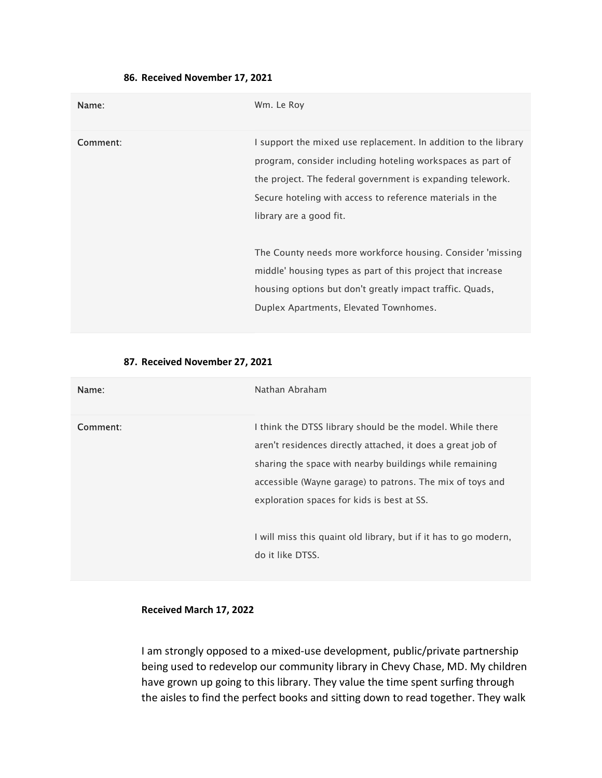| Name:    | Wm. Le Roy                                                                                                                                                                                                                                                                          |
|----------|-------------------------------------------------------------------------------------------------------------------------------------------------------------------------------------------------------------------------------------------------------------------------------------|
| Comment: | I support the mixed use replacement. In addition to the library<br>program, consider including hoteling workspaces as part of<br>the project. The federal government is expanding telework.<br>Secure hoteling with access to reference materials in the<br>library are a good fit. |
|          | The County needs more workforce housing. Consider 'missing<br>middle' housing types as part of this project that increase<br>housing options but don't greatly impact traffic. Quads,<br>Duplex Apartments, Elevated Townhomes.                                                     |

# 86. Received November 17, 2021

## 87. Received November 27, 2021

| Name:    | Nathan Abraham                                                                                                                                                                                                                                                                                 |
|----------|------------------------------------------------------------------------------------------------------------------------------------------------------------------------------------------------------------------------------------------------------------------------------------------------|
| Comment: | I think the DTSS library should be the model. While there<br>aren't residences directly attached, it does a great job of<br>sharing the space with nearby buildings while remaining<br>accessible (Wayne garage) to patrons. The mix of toys and<br>exploration spaces for kids is best at SS. |
|          | I will miss this quaint old library, but if it has to go modern,<br>do it like DTSS.                                                                                                                                                                                                           |

## Received March 17, 2022

I am strongly opposed to a mixed-use development, public/private partnership being used to redevelop our community library in Chevy Chase, MD. My children have grown up going to this library. They value the time spent surfing through the aisles to find the perfect books and sitting down to read together. They walk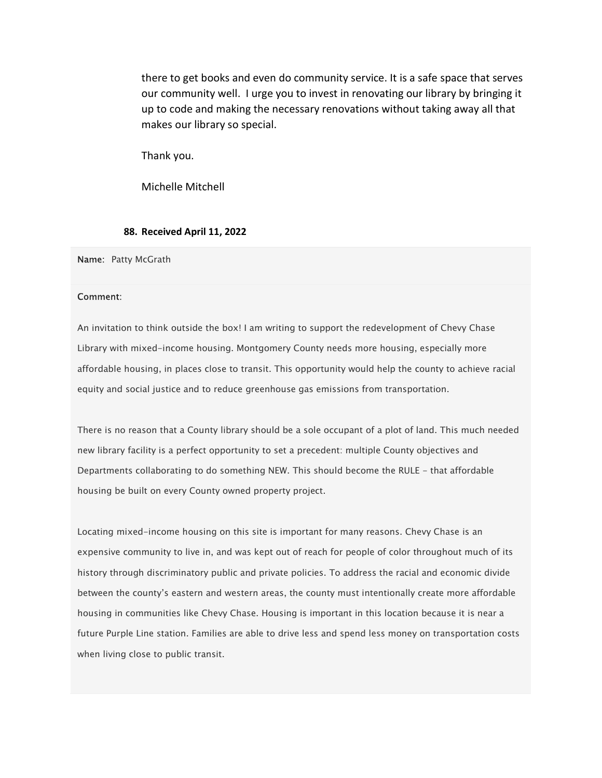there to get books and even do community service. It is a safe space that serves our community well. I urge you to invest in renovating our library by bringing it up to code and making the necessary renovations without taking away all that makes our library so special.

Thank you.

Michelle Mitchell

### 88. Received April 11, 2022

Name: Patty McGrath

#### Comment:

An invitation to think outside the box! I am writing to support the redevelopment of Chevy Chase Library with mixed-income housing. Montgomery County needs more housing, especially more affordable housing, in places close to transit. This opportunity would help the county to achieve racial equity and social justice and to reduce greenhouse gas emissions from transportation.

There is no reason that a County library should be a sole occupant of a plot of land. This much needed new library facility is a perfect opportunity to set a precedent: multiple County objectives and Departments collaborating to do something NEW. This should become the RULE - that affordable housing be built on every County owned property project.

Locating mixed-income housing on this site is important for many reasons. Chevy Chase is an expensive community to live in, and was kept out of reach for people of color throughout much of its history through discriminatory public and private policies. To address the racial and economic divide between the county's eastern and western areas, the county must intentionally create more affordable housing in communities like Chevy Chase. Housing is important in this location because it is near a future Purple Line station. Families are able to drive less and spend less money on transportation costs when living close to public transit.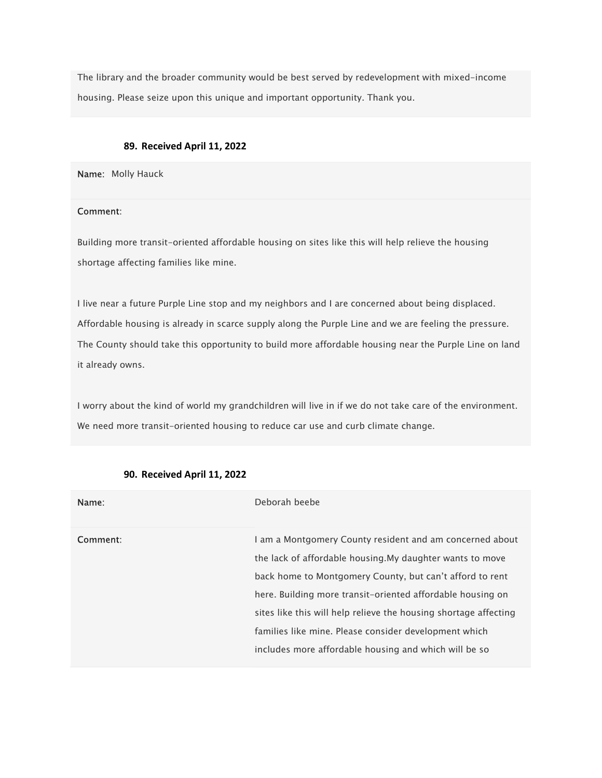The library and the broader community would be best served by redevelopment with mixed-income housing. Please seize upon this unique and important opportunity. Thank you.

# 89. Received April 11, 2022

Name: Molly Hauck

# Comment:

Building more transit-oriented affordable housing on sites like this will help relieve the housing shortage affecting families like mine.

I live near a future Purple Line stop and my neighbors and I are concerned about being displaced. Affordable housing is already in scarce supply along the Purple Line and we are feeling the pressure. The County should take this opportunity to build more affordable housing near the Purple Line on land it already owns.

I worry about the kind of world my grandchildren will live in if we do not take care of the environment. We need more transit-oriented housing to reduce car use and curb climate change.

| Name:    | Deborah beebe                                                                                                                                                                                                                                                                                                                                                                                                                         |
|----------|---------------------------------------------------------------------------------------------------------------------------------------------------------------------------------------------------------------------------------------------------------------------------------------------------------------------------------------------------------------------------------------------------------------------------------------|
| Comment: | I am a Montgomery County resident and am concerned about<br>the lack of affordable housing. My daughter wants to move<br>back home to Montgomery County, but can't afford to rent<br>here. Building more transit-oriented affordable housing on<br>sites like this will help relieve the housing shortage affecting<br>families like mine. Please consider development which<br>includes more affordable housing and which will be so |

#### 90. Received April 11, 2022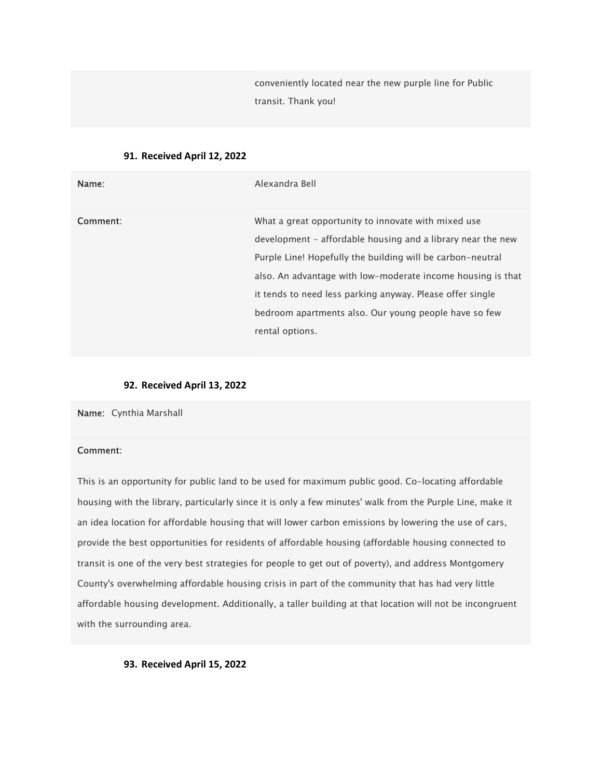conveniently located near the new purple line for Public transit. Thank you!

### 91. Received April 12, 2022

| Name:    | Alexandra Bell                                                                                                                                                                                                                                                                                                                                                                           |
|----------|------------------------------------------------------------------------------------------------------------------------------------------------------------------------------------------------------------------------------------------------------------------------------------------------------------------------------------------------------------------------------------------|
| Comment: | What a great opportunity to innovate with mixed use<br>development – affordable housing and a library near the new<br>Purple Line! Hopefully the building will be carbon-neutral<br>also. An advantage with low-moderate income housing is that<br>it tends to need less parking anyway. Please offer single<br>bedroom apartments also. Our young people have so few<br>rental options. |

### 92. Received April 13, 2022

Name: Cynthia Marshall

### Comment:

This is an opportunity for public land to be used for maximum public good. Co-locating affordable housing with the library, particularly since it is only a few minutes' walk from the Purple Line, make it an idea location for affordable housing that will lower carbon emissions by lowering the use of cars, provide the best opportunities for residents of affordable housing (affordable housing connected to transit is one of the very best strategies for people to get out of poverty), and address Montgomery County's overwhelming affordable housing crisis in part of the community that has had very little affordable housing development. Additionally, a taller building at that location will not be incongruent with the surrounding area.

# 93. Received April 15, 2022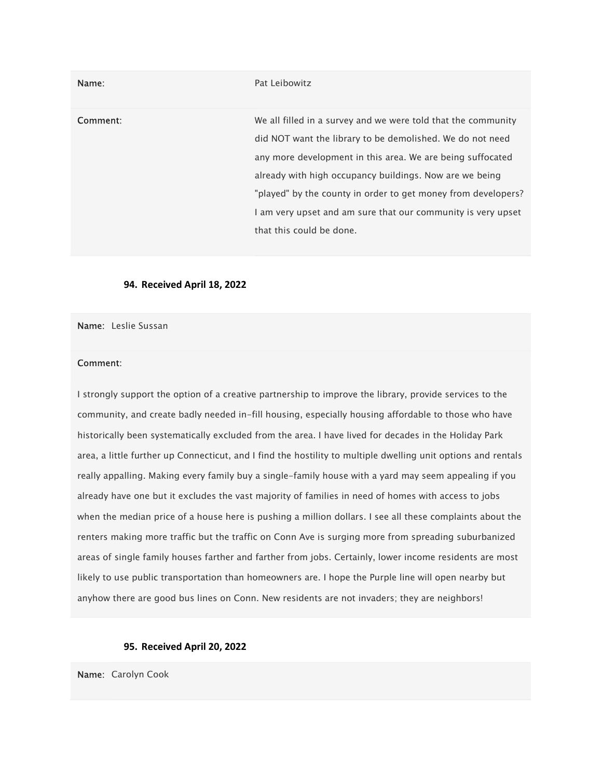| Name:    | Pat Leibowitz                                                                                                                                                                                                                                                                                                                                                                                                    |
|----------|------------------------------------------------------------------------------------------------------------------------------------------------------------------------------------------------------------------------------------------------------------------------------------------------------------------------------------------------------------------------------------------------------------------|
| Comment: | We all filled in a survey and we were told that the community<br>did NOT want the library to be demolished. We do not need<br>any more development in this area. We are being suffocated<br>already with high occupancy buildings. Now are we being<br>"played" by the county in order to get money from developers?<br>I am very upset and am sure that our community is very upset<br>that this could be done. |

### 94. Received April 18, 2022

Name: Leslie Sussan

### Comment:

I strongly support the option of a creative partnership to improve the library, provide services to the community, and create badly needed in-fill housing, especially housing affordable to those who have historically been systematically excluded from the area. I have lived for decades in the Holiday Park area, a little further up Connecticut, and I find the hostility to multiple dwelling unit options and rentals really appalling. Making every family buy a single-family house with a yard may seem appealing if you already have one but it excludes the vast majority of families in need of homes with access to jobs when the median price of a house here is pushing a million dollars. I see all these complaints about the renters making more traffic but the traffic on Conn Ave is surging more from spreading suburbanized areas of single family houses farther and farther from jobs. Certainly, lower income residents are most likely to use public transportation than homeowners are. I hope the Purple line will open nearby but anyhow there are good bus lines on Conn. New residents are not invaders; they are neighbors!

### 95. Received April 20, 2022

Name: Carolyn Cook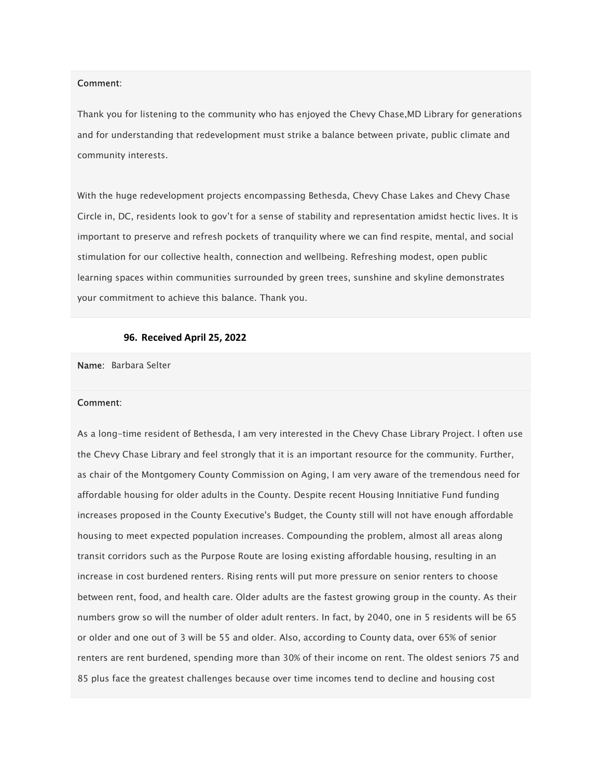#### Comment:

Thank you for listening to the community who has enjoyed the Chevy Chase,MD Library for generations and for understanding that redevelopment must strike a balance between private, public climate and community interests.

With the huge redevelopment projects encompassing Bethesda, Chevy Chase Lakes and Chevy Chase Circle in, DC, residents look to gov't for a sense of stability and representation amidst hectic lives. It is important to preserve and refresh pockets of tranquility where we can find respite, mental, and social stimulation for our collective health, connection and wellbeing. Refreshing modest, open public learning spaces within communities surrounded by green trees, sunshine and skyline demonstrates your commitment to achieve this balance. Thank you.

### 96. Received April 25, 2022

Name: Barbara Selter

#### Comment:

As a long-time resident of Bethesda, I am very interested in the Chevy Chase Library Project. l often use the Chevy Chase Library and feel strongly that it is an important resource for the community. Further, as chair of the Montgomery County Commission on Aging, I am very aware of the tremendous need for affordable housing for older adults in the County. Despite recent Housing Innitiative Fund funding increases proposed in the County Executive's Budget, the County still will not have enough affordable housing to meet expected population increases. Compounding the problem, almost all areas along transit corridors such as the Purpose Route are losing existing affordable housing, resulting in an increase in cost burdened renters. Rising rents will put more pressure on senior renters to choose between rent, food, and health care. Older adults are the fastest growing group in the county. As their numbers grow so will the number of older adult renters. In fact, by 2040, one in 5 residents will be 65 or older and one out of 3 will be 55 and older. Also, according to County data, over 65% of senior renters are rent burdened, spending more than 30% of their income on rent. The oldest seniors 75 and 85 plus face the greatest challenges because over time incomes tend to decline and housing cost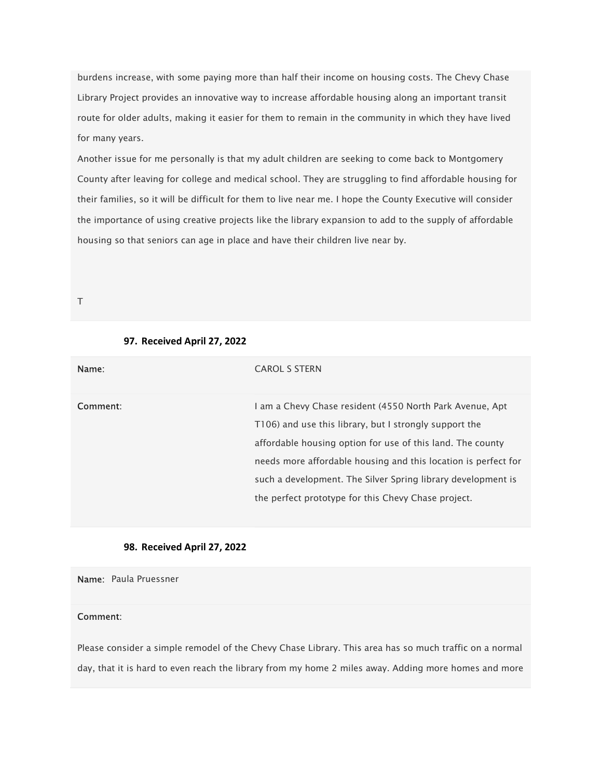burdens increase, with some paying more than half their income on housing costs. The Chevy Chase Library Project provides an innovative way to increase affordable housing along an important transit route for older adults, making it easier for them to remain in the community in which they have lived for many years.

Another issue for me personally is that my adult children are seeking to come back to Montgomery County after leaving for college and medical school. They are struggling to find affordable housing for their families, so it will be difficult for them to live near me. I hope the County Executive will consider the importance of using creative projects like the library expansion to add to the supply of affordable housing so that seniors can age in place and have their children live near by.

T

### 97. Received April 27, 2022

| Name:    | <b>CAROL S STERN</b>                                                                                                                                                                                                                                                                                                                                                      |
|----------|---------------------------------------------------------------------------------------------------------------------------------------------------------------------------------------------------------------------------------------------------------------------------------------------------------------------------------------------------------------------------|
| Comment: | I am a Chevy Chase resident (4550 North Park Avenue, Apt<br>T106) and use this library, but I strongly support the<br>affordable housing option for use of this land. The county<br>needs more affordable housing and this location is perfect for<br>such a development. The Silver Spring library development is<br>the perfect prototype for this Chevy Chase project. |

### 98. Received April 27, 2022

Name: Paula Pruessner

# Comment:

Please consider a simple remodel of the Chevy Chase Library. This area has so much traffic on a normal day, that it is hard to even reach the library from my home 2 miles away. Adding more homes and more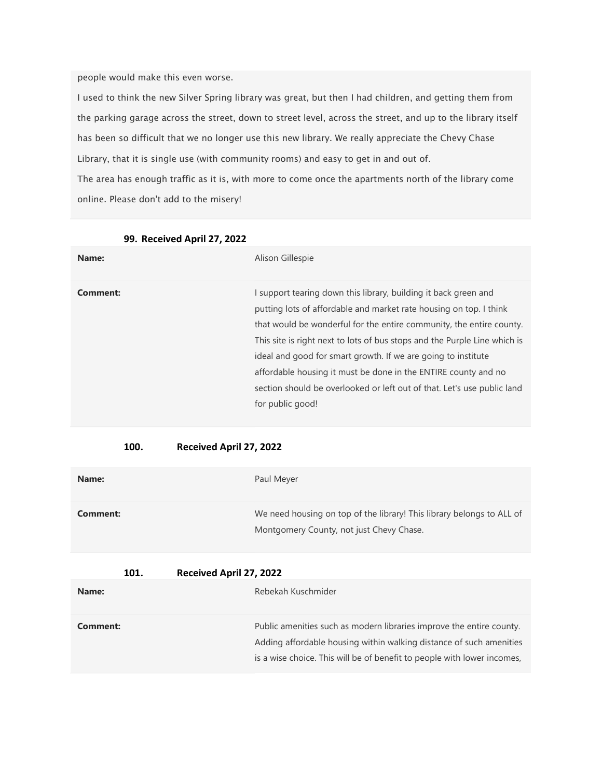people would make this even worse.

I used to think the new Silver Spring library was great, but then I had children, and getting them from the parking garage across the street, down to street level, across the street, and up to the library itself has been so difficult that we no longer use this new library. We really appreciate the Chevy Chase Library, that it is single use (with community rooms) and easy to get in and out of. The area has enough traffic as it is, with more to come once the apartments north of the library come

online. Please don't add to the misery!

| Name:    | Alison Gillespie                                                                                                                                                                                                                                                                                                                                                                                                                                                                                                             |
|----------|------------------------------------------------------------------------------------------------------------------------------------------------------------------------------------------------------------------------------------------------------------------------------------------------------------------------------------------------------------------------------------------------------------------------------------------------------------------------------------------------------------------------------|
| Comment: | I support tearing down this library, building it back green and<br>putting lots of affordable and market rate housing on top. I think<br>that would be wonderful for the entire community, the entire county.<br>This site is right next to lots of bus stops and the Purple Line which is<br>ideal and good for smart growth. If we are going to institute<br>affordable housing it must be done in the ENTIRE county and no<br>section should be overlooked or left out of that. Let's use public land<br>for public good! |

99. Received April 27, 2022

## 100. Received April 27, 2022

| Name:    | Paul Meyer                                                                                                        |
|----------|-------------------------------------------------------------------------------------------------------------------|
| Comment: | We need housing on top of the library! This library belongs to ALL of<br>Montgomery County, not just Chevy Chase. |

| Name:    | Rebekah Kuschmider                                                                                                                                                                                                     |
|----------|------------------------------------------------------------------------------------------------------------------------------------------------------------------------------------------------------------------------|
| Comment: | Public amenities such as modern libraries improve the entire county.<br>Adding affordable housing within walking distance of such amenities<br>is a wise choice. This will be of benefit to people with lower incomes, |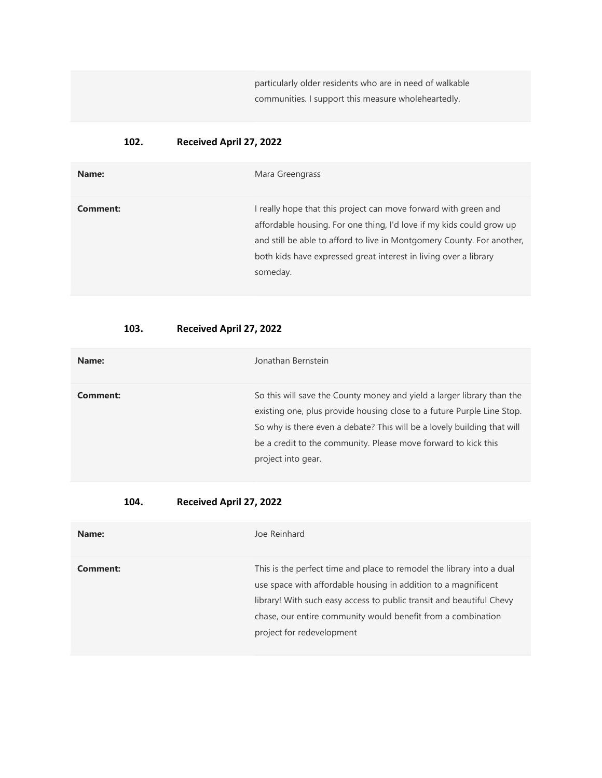particularly older residents who are in need of walkable communities. I support this measure wholeheartedly.

# 102. Received April 27, 2022

| Name:    | Mara Greengrass                                                                                                                                                                                                                                                                                   |
|----------|---------------------------------------------------------------------------------------------------------------------------------------------------------------------------------------------------------------------------------------------------------------------------------------------------|
| Comment: | I really hope that this project can move forward with green and<br>affordable housing. For one thing, I'd love if my kids could grow up<br>and still be able to afford to live in Montgomery County. For another,<br>both kids have expressed great interest in living over a library<br>someday. |

# 103. Received April 27, 2022

| Name:    | Jonathan Bernstein                                                                                                                                                                                                                                                                                                  |
|----------|---------------------------------------------------------------------------------------------------------------------------------------------------------------------------------------------------------------------------------------------------------------------------------------------------------------------|
| Comment: | So this will save the County money and yield a larger library than the<br>existing one, plus provide housing close to a future Purple Line Stop.<br>So why is there even a debate? This will be a lovely building that will<br>be a credit to the community. Please move forward to kick this<br>project into gear. |

| Name:    | Joe Reinhard                                                                                                                                                                                                                                                                                                 |
|----------|--------------------------------------------------------------------------------------------------------------------------------------------------------------------------------------------------------------------------------------------------------------------------------------------------------------|
| Comment: | This is the perfect time and place to remodel the library into a dual<br>use space with affordable housing in addition to a magnificent<br>library! With such easy access to public transit and beautiful Chevy<br>chase, our entire community would benefit from a combination<br>project for redevelopment |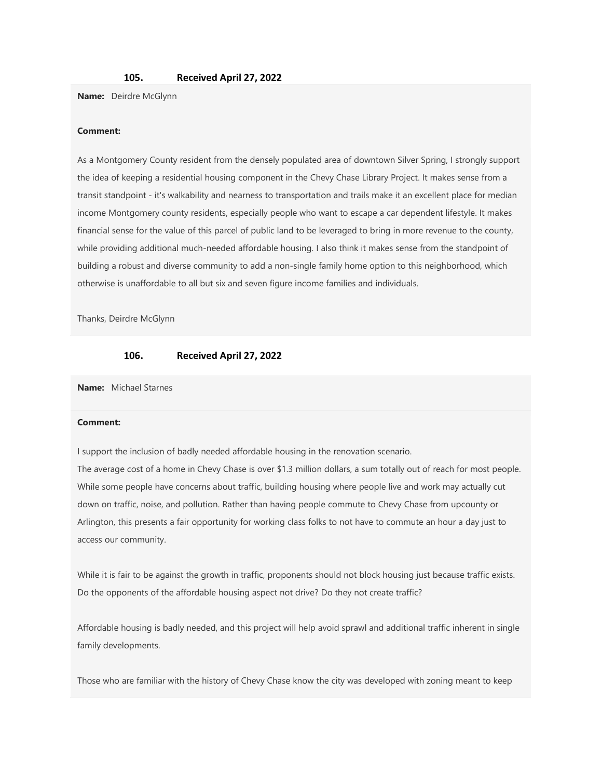#### 105. Received April 27, 2022

Name: Deirdre McGlynn

#### Comment:

As a Montgomery County resident from the densely populated area of downtown Silver Spring, I strongly support the idea of keeping a residential housing component in the Chevy Chase Library Project. It makes sense from a transit standpoint - it's walkability and nearness to transportation and trails make it an excellent place for median income Montgomery county residents, especially people who want to escape a car dependent lifestyle. It makes financial sense for the value of this parcel of public land to be leveraged to bring in more revenue to the county, while providing additional much-needed affordable housing. I also think it makes sense from the standpoint of building a robust and diverse community to add a non-single family home option to this neighborhood, which otherwise is unaffordable to all but six and seven figure income families and individuals.

Thanks, Deirdre McGlynn

## 106. Received April 27, 2022

Name: Michael Starnes

#### Comment:

I support the inclusion of badly needed affordable housing in the renovation scenario.

The average cost of a home in Chevy Chase is over \$1.3 million dollars, a sum totally out of reach for most people. While some people have concerns about traffic, building housing where people live and work may actually cut down on traffic, noise, and pollution. Rather than having people commute to Chevy Chase from upcounty or Arlington, this presents a fair opportunity for working class folks to not have to commute an hour a day just to access our community.

While it is fair to be against the growth in traffic, proponents should not block housing just because traffic exists. Do the opponents of the affordable housing aspect not drive? Do they not create traffic?

Affordable housing is badly needed, and this project will help avoid sprawl and additional traffic inherent in single family developments.

Those who are familiar with the history of Chevy Chase know the city was developed with zoning meant to keep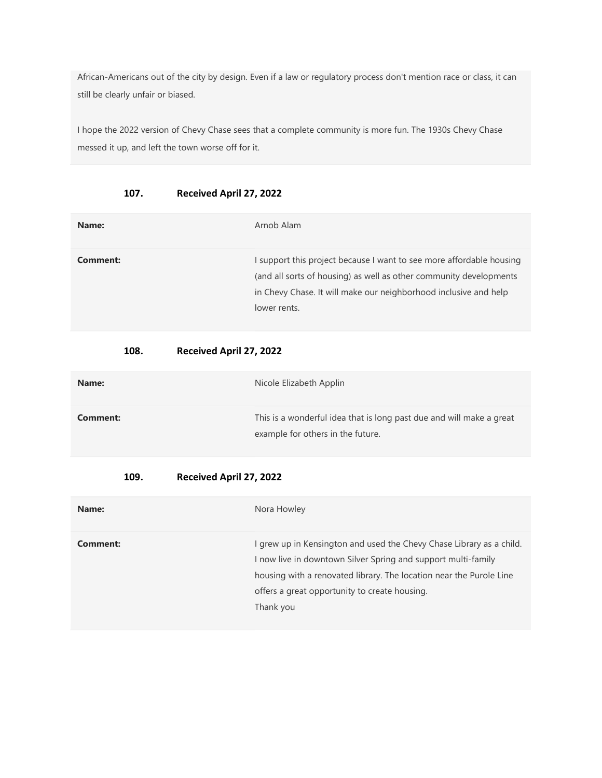African-Americans out of the city by design. Even if a law or regulatory process don't mention race or class, it can still be clearly unfair or biased.

I hope the 2022 version of Chevy Chase sees that a complete community is more fun. The 1930s Chevy Chase messed it up, and left the town worse off for it.

| 107. | Received April 27, 2022 |
|------|-------------------------|
|------|-------------------------|

| Name:    | Arnob Alam                                                                                                                                                                                                                     |
|----------|--------------------------------------------------------------------------------------------------------------------------------------------------------------------------------------------------------------------------------|
| Comment: | I support this project because I want to see more affordable housing<br>(and all sorts of housing) as well as other community developments<br>in Chevy Chase. It will make our neighborhood inclusive and help<br>lower rents. |

# 108. Received April 27, 2022

| Name:    | Nicole Elizabeth Applin                                                                                   |
|----------|-----------------------------------------------------------------------------------------------------------|
| Comment: | This is a wonderful idea that is long past due and will make a great<br>example for others in the future. |

| Name:    | Nora Howley                                                                                                                                                                                                                                                                |
|----------|----------------------------------------------------------------------------------------------------------------------------------------------------------------------------------------------------------------------------------------------------------------------------|
| Comment: | I grew up in Kensington and used the Chevy Chase Library as a child.<br>I now live in downtown Silver Spring and support multi-family<br>housing with a renovated library. The location near the Purole Line<br>offers a great opportunity to create housing.<br>Thank you |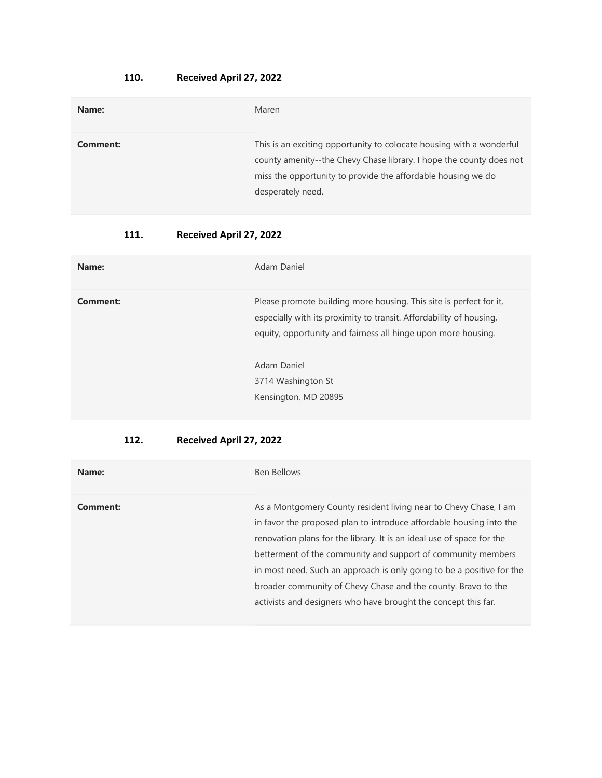# 110. Received April 27, 2022

| Name:    | Maren                                                                                                                                                                                                                            |
|----------|----------------------------------------------------------------------------------------------------------------------------------------------------------------------------------------------------------------------------------|
| Comment: | This is an exciting opportunity to colocate housing with a wonderful<br>county amenity--the Chevy Chase library. I hope the county does not<br>miss the opportunity to provide the affordable housing we do<br>desperately need. |

# 111. Received April 27, 2022

| Name:    | Adam Daniel                                                                                                                                                                                                                                                             |
|----------|-------------------------------------------------------------------------------------------------------------------------------------------------------------------------------------------------------------------------------------------------------------------------|
| Comment: | Please promote building more housing. This site is perfect for it,<br>especially with its proximity to transit. Affordability of housing,<br>equity, opportunity and fairness all hinge upon more housing.<br>Adam Daniel<br>3714 Washington St<br>Kensington, MD 20895 |
|          |                                                                                                                                                                                                                                                                         |

| Name:    | Ben Bellows                                                                                                                                                                                                                                                                                                                                                                                                                                                                                  |
|----------|----------------------------------------------------------------------------------------------------------------------------------------------------------------------------------------------------------------------------------------------------------------------------------------------------------------------------------------------------------------------------------------------------------------------------------------------------------------------------------------------|
| Comment: | As a Montgomery County resident living near to Chevy Chase, I am<br>in favor the proposed plan to introduce affordable housing into the<br>renovation plans for the library. It is an ideal use of space for the<br>betterment of the community and support of community members<br>in most need. Such an approach is only going to be a positive for the<br>broader community of Chevy Chase and the county. Bravo to the<br>activists and designers who have brought the concept this far. |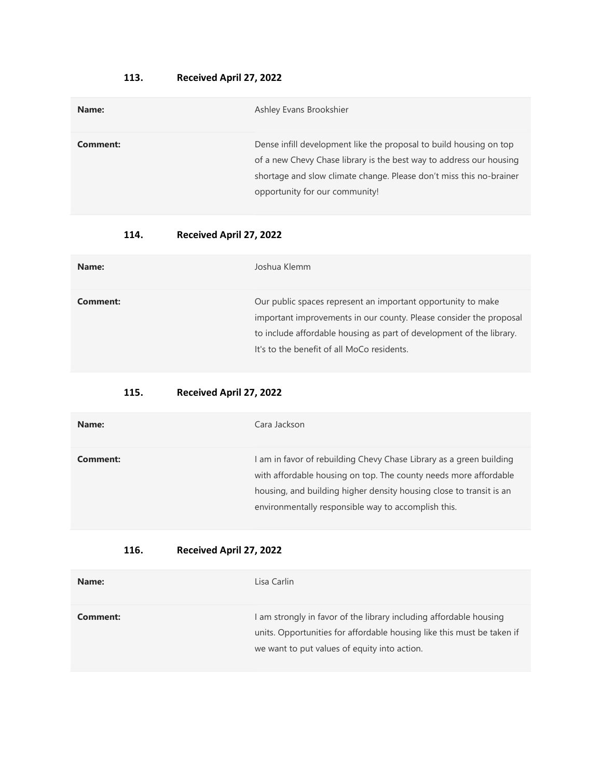# 113. Received April 27, 2022

| Name:    | Ashley Evans Brookshier                                                                                                                                                                                                                            |
|----------|----------------------------------------------------------------------------------------------------------------------------------------------------------------------------------------------------------------------------------------------------|
| Comment: | Dense infill development like the proposal to build housing on top<br>of a new Chevy Chase library is the best way to address our housing<br>shortage and slow climate change. Please don't miss this no-brainer<br>opportunity for our community! |

# 114. Received April 27, 2022

| Name:    | Joshua Klemm                                                                                                                                                                                                                                             |
|----------|----------------------------------------------------------------------------------------------------------------------------------------------------------------------------------------------------------------------------------------------------------|
| Comment: | Our public spaces represent an important opportunity to make<br>important improvements in our county. Please consider the proposal<br>to include affordable housing as part of development of the library.<br>It's to the benefit of all MoCo residents. |

# 115. Received April 27, 2022

| Name:    | Cara Jackson                                                                                                                                                                                                                                                          |
|----------|-----------------------------------------------------------------------------------------------------------------------------------------------------------------------------------------------------------------------------------------------------------------------|
| Comment: | I am in favor of rebuilding Chevy Chase Library as a green building<br>with affordable housing on top. The county needs more affordable<br>housing, and building higher density housing close to transit is an<br>environmentally responsible way to accomplish this. |

| Name:    | Lisa Carlin                                                                                                                                                                                  |
|----------|----------------------------------------------------------------------------------------------------------------------------------------------------------------------------------------------|
| Comment: | I am strongly in favor of the library including affordable housing<br>units. Opportunities for affordable housing like this must be taken if<br>we want to put values of equity into action. |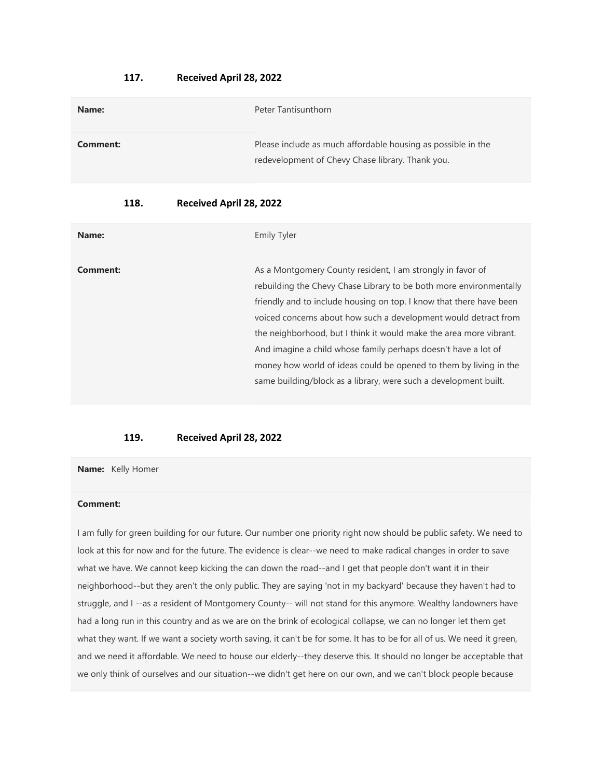#### 117. Received April 28, 2022

| Name:    | Peter Tantisunthorn                                                                                              |
|----------|------------------------------------------------------------------------------------------------------------------|
| Comment: | Please include as much affordable housing as possible in the<br>redevelopment of Chevy Chase library. Thank you. |

## 118. Received April 28, 2022

| Name:    | <b>Emily Tyler</b>                                                                                                                                                                                                                                                                                                                                                                                                                                                                                                                                          |
|----------|-------------------------------------------------------------------------------------------------------------------------------------------------------------------------------------------------------------------------------------------------------------------------------------------------------------------------------------------------------------------------------------------------------------------------------------------------------------------------------------------------------------------------------------------------------------|
| Comment: | As a Montgomery County resident, I am strongly in favor of<br>rebuilding the Chevy Chase Library to be both more environmentally<br>friendly and to include housing on top. I know that there have been<br>voiced concerns about how such a development would detract from<br>the neighborhood, but I think it would make the area more vibrant.<br>And imagine a child whose family perhaps doesn't have a lot of<br>money how world of ideas could be opened to them by living in the<br>same building/block as a library, were such a development built. |

### 119. Received April 28, 2022

Name: Kelly Homer

### Comment:

I am fully for green building for our future. Our number one priority right now should be public safety. We need to look at this for now and for the future. The evidence is clear--we need to make radical changes in order to save what we have. We cannot keep kicking the can down the road--and I get that people don't want it in their neighborhood--but they aren't the only public. They are saying 'not in my backyard' because they haven't had to struggle, and I --as a resident of Montgomery County-- will not stand for this anymore. Wealthy landowners have had a long run in this country and as we are on the brink of ecological collapse, we can no longer let them get what they want. If we want a society worth saving, it can't be for some. It has to be for all of us. We need it green, and we need it affordable. We need to house our elderly--they deserve this. It should no longer be acceptable that we only think of ourselves and our situation--we didn't get here on our own, and we can't block people because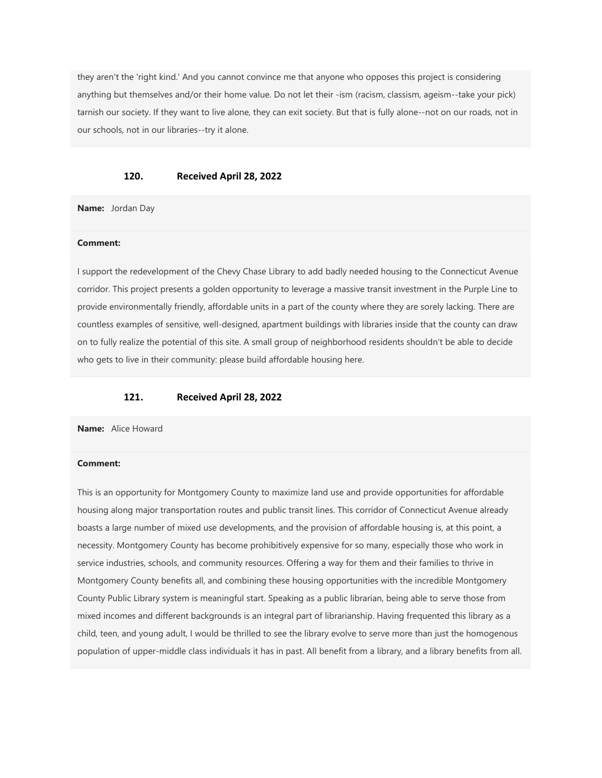they aren't the 'right kind.' And you cannot convince me that anyone who opposes this project is considering anything but themselves and/or their home value. Do not let their -ism (racism, classism, ageism--take your pick) tarnish our society. If they want to live alone, they can exit society. But that is fully alone--not on our roads, not in our schools, not in our libraries--try it alone.

#### 120. Received April 28, 2022

Name: Jordan Day

#### Comment:

I support the redevelopment of the Chevy Chase Library to add badly needed housing to the Connecticut Avenue corridor. This project presents a golden opportunity to leverage a massive transit investment in the Purple Line to provide environmentally friendly, affordable units in a part of the county where they are sorely lacking. There are countless examples of sensitive, well-designed, apartment buildings with libraries inside that the county can draw on to fully realize the potential of this site. A small group of neighborhood residents shouldn't be able to decide who gets to live in their community: please build affordable housing here.

#### 121. Received April 28, 2022

Name: Alice Howard

#### Comment:

This is an opportunity for Montgomery County to maximize land use and provide opportunities for affordable housing along major transportation routes and public transit lines. This corridor of Connecticut Avenue already boasts a large number of mixed use developments, and the provision of affordable housing is, at this point, a necessity. Montgomery County has become prohibitively expensive for so many, especially those who work in service industries, schools, and community resources. Offering a way for them and their families to thrive in Montgomery County benefits all, and combining these housing opportunities with the incredible Montgomery County Public Library system is meaningful start. Speaking as a public librarian, being able to serve those from mixed incomes and different backgrounds is an integral part of librarianship. Having frequented this library as a child, teen, and young adult, I would be thrilled to see the library evolve to serve more than just the homogenous population of upper-middle class individuals it has in past. All benefit from a library, and a library benefits from all.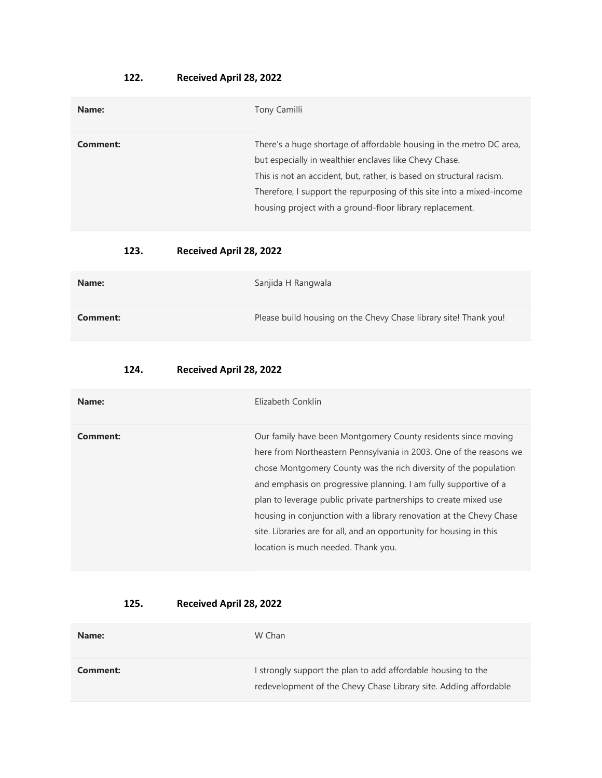# 122. Received April 28, 2022

| Name:    | Tony Camilli                                                                                                                                                                                                                                                                                                                               |
|----------|--------------------------------------------------------------------------------------------------------------------------------------------------------------------------------------------------------------------------------------------------------------------------------------------------------------------------------------------|
| Comment: | There's a huge shortage of affordable housing in the metro DC area,<br>but especially in wealthier enclaves like Chevy Chase.<br>This is not an accident, but, rather, is based on structural racism.<br>Therefore, I support the repurposing of this site into a mixed-income<br>housing project with a ground-floor library replacement. |

# 123. Received April 28, 2022

| Name:    | Sanjida H Rangwala                                               |
|----------|------------------------------------------------------------------|
| Comment: | Please build housing on the Chevy Chase library site! Thank you! |

# 124. Received April 28, 2022

| Name:    | Elizabeth Conklin                                                                                                                                                                                                                                                                                                                                                                                                                                                                                                                    |
|----------|--------------------------------------------------------------------------------------------------------------------------------------------------------------------------------------------------------------------------------------------------------------------------------------------------------------------------------------------------------------------------------------------------------------------------------------------------------------------------------------------------------------------------------------|
| Comment: | Our family have been Montgomery County residents since moving<br>here from Northeastern Pennsylvania in 2003. One of the reasons we<br>chose Montgomery County was the rich diversity of the population<br>and emphasis on progressive planning. I am fully supportive of a<br>plan to leverage public private partnerships to create mixed use<br>housing in conjunction with a library renovation at the Chevy Chase<br>site. Libraries are for all, and an opportunity for housing in this<br>location is much needed. Thank you. |

| Name:    | W Chan                                                                                                                           |
|----------|----------------------------------------------------------------------------------------------------------------------------------|
| Comment: | I strongly support the plan to add affordable housing to the<br>redevelopment of the Chevy Chase Library site. Adding affordable |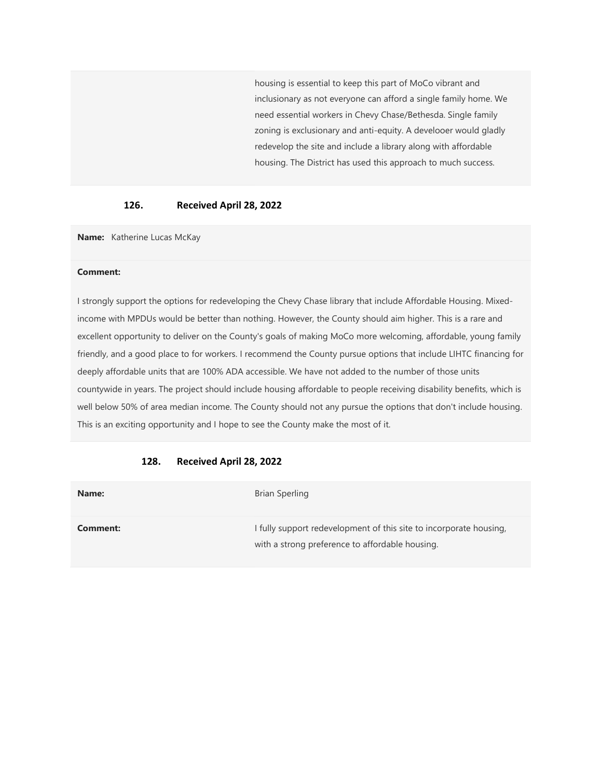housing is essential to keep this part of MoCo vibrant and inclusionary as not everyone can afford a single family home. We need essential workers in Chevy Chase/Bethesda. Single family zoning is exclusionary and anti-equity. A develooer would gladly redevelop the site and include a library along with affordable housing. The District has used this approach to much success.

## 126. Received April 28, 2022

Name: Katherine Lucas McKay

#### Comment:

I strongly support the options for redeveloping the Chevy Chase library that include Affordable Housing. Mixedincome with MPDUs would be better than nothing. However, the County should aim higher. This is a rare and excellent opportunity to deliver on the County's goals of making MoCo more welcoming, affordable, young family friendly, and a good place to for workers. I recommend the County pursue options that include LIHTC financing for deeply affordable units that are 100% ADA accessible. We have not added to the number of those units countywide in years. The project should include housing affordable to people receiving disability benefits, which is well below 50% of area median income. The County should not any pursue the options that don't include housing. This is an exciting opportunity and I hope to see the County make the most of it.

| Name:    | Brian Sperling                                                                                                        |
|----------|-----------------------------------------------------------------------------------------------------------------------|
| Comment: | I fully support redevelopment of this site to incorporate housing,<br>with a strong preference to affordable housing. |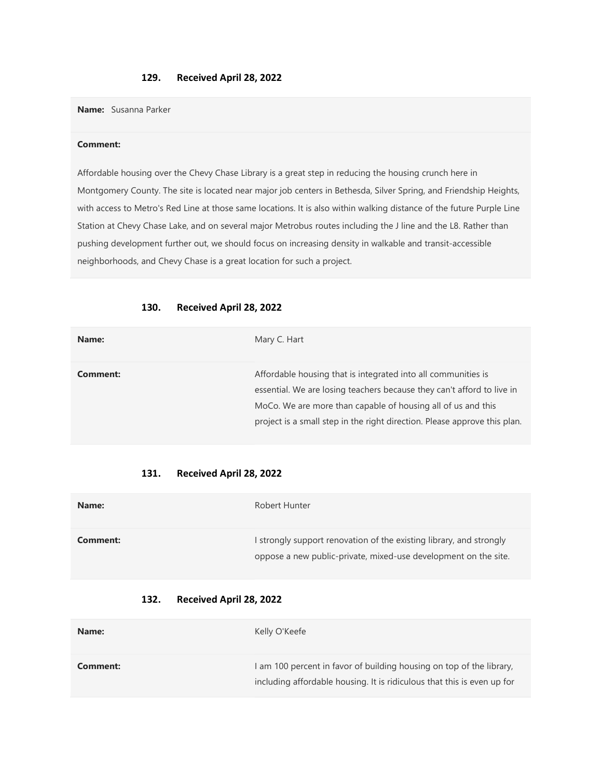# 129. Received April 28, 2022

Name: Susanna Parker

#### Comment:

Affordable housing over the Chevy Chase Library is a great step in reducing the housing crunch here in Montgomery County. The site is located near major job centers in Bethesda, Silver Spring, and Friendship Heights, with access to Metro's Red Line at those same locations. It is also within walking distance of the future Purple Line Station at Chevy Chase Lake, and on several major Metrobus routes including the J line and the L8. Rather than pushing development further out, we should focus on increasing density in walkable and transit-accessible neighborhoods, and Chevy Chase is a great location for such a project.

# 130. Received April 28, 2022

| Name:    | Mary C. Hart                                                                                                                                                                                                                                                                         |
|----------|--------------------------------------------------------------------------------------------------------------------------------------------------------------------------------------------------------------------------------------------------------------------------------------|
| Comment: | Affordable housing that is integrated into all communities is<br>essential. We are losing teachers because they can't afford to live in<br>MoCo. We are more than capable of housing all of us and this<br>project is a small step in the right direction. Please approve this plan. |

#### 131. Received April 28, 2022

| Name:    | Robert Hunter                                                                                                                          |
|----------|----------------------------------------------------------------------------------------------------------------------------------------|
| Comment: | I strongly support renovation of the existing library, and strongly<br>oppose a new public-private, mixed-use development on the site. |

| Name:    | Kelly O'Keefe                                                                                                                                   |
|----------|-------------------------------------------------------------------------------------------------------------------------------------------------|
| Comment: | I am 100 percent in favor of building housing on top of the library,<br>including affordable housing. It is ridiculous that this is even up for |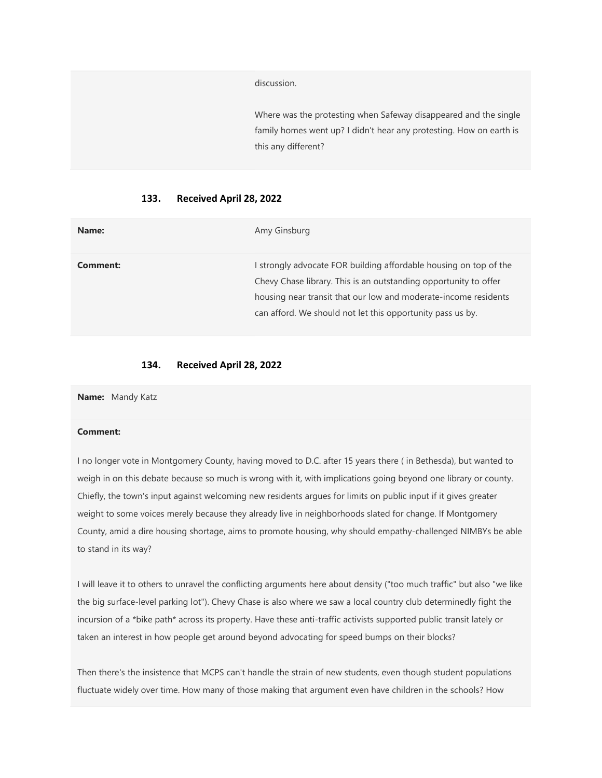discussion.

Where was the protesting when Safeway disappeared and the single family homes went up? I didn't hear any protesting. How on earth is this any different?

#### 133. Received April 28, 2022

| Name:    | Amy Ginsburg                                                                                                                                                                                                                                                         |
|----------|----------------------------------------------------------------------------------------------------------------------------------------------------------------------------------------------------------------------------------------------------------------------|
| Comment: | strongly advocate FOR building affordable housing on top of the<br>Chevy Chase library. This is an outstanding opportunity to offer<br>housing near transit that our low and moderate-income residents<br>can afford. We should not let this opportunity pass us by. |

## 134. Received April 28, 2022

Name: Mandy Katz

### Comment:

I no longer vote in Montgomery County, having moved to D.C. after 15 years there ( in Bethesda), but wanted to weigh in on this debate because so much is wrong with it, with implications going beyond one library or county. Chiefly, the town's input against welcoming new residents argues for limits on public input if it gives greater weight to some voices merely because they already live in neighborhoods slated for change. If Montgomery County, amid a dire housing shortage, aims to promote housing, why should empathy-challenged NIMBYs be able to stand in its way?

I will leave it to others to unravel the conflicting arguments here about density ("too much traffic" but also "we like the big surface-level parking lot"). Chevy Chase is also where we saw a local country club determinedly fight the incursion of a \*bike path\* across its property. Have these anti-traffic activists supported public transit lately or taken an interest in how people get around beyond advocating for speed bumps on their blocks?

Then there's the insistence that MCPS can't handle the strain of new students, even though student populations fluctuate widely over time. How many of those making that argument even have children in the schools? How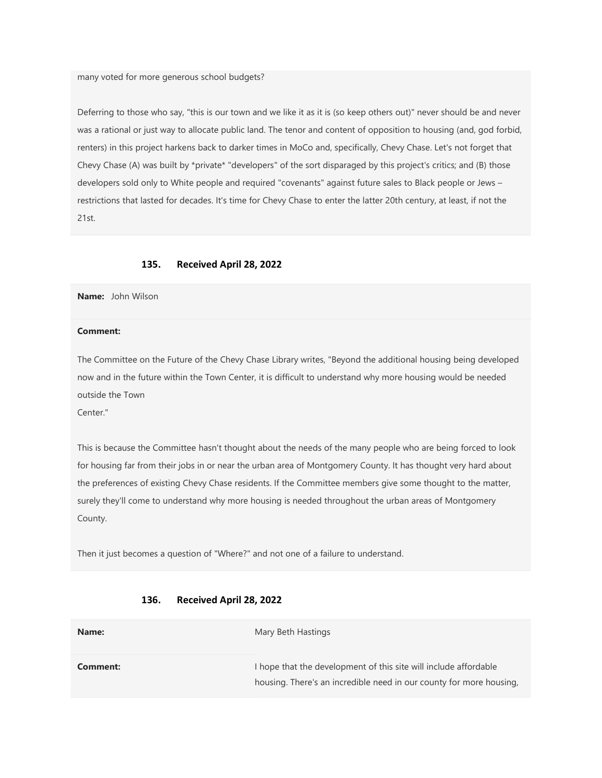many voted for more generous school budgets?

Deferring to those who say, "this is our town and we like it as it is (so keep others out)" never should be and never was a rational or just way to allocate public land. The tenor and content of opposition to housing (and, god forbid, renters) in this project harkens back to darker times in MoCo and, specifically, Chevy Chase. Let's not forget that Chevy Chase (A) was built by \*private\* "developers" of the sort disparaged by this project's critics; and (B) those developers sold only to White people and required "covenants" against future sales to Black people or Jews – restrictions that lasted for decades. It's time for Chevy Chase to enter the latter 20th century, at least, if not the 21st.

#### 135. Received April 28, 2022

Name: John Wilson

### Comment:

The Committee on the Future of the Chevy Chase Library writes, "Beyond the additional housing being developed now and in the future within the Town Center, it is difficult to understand why more housing would be needed outside the Town

Center."

This is because the Committee hasn't thought about the needs of the many people who are being forced to look for housing far from their jobs in or near the urban area of Montgomery County. It has thought very hard about the preferences of existing Chevy Chase residents. If the Committee members give some thought to the matter, surely they'll come to understand why more housing is needed throughout the urban areas of Montgomery County.

Then it just becomes a question of "Where?" and not one of a failure to understand.

| Name:    | Mary Beth Hastings                                                                                                                      |
|----------|-----------------------------------------------------------------------------------------------------------------------------------------|
| Comment: | I hope that the development of this site will include affordable<br>housing. There's an incredible need in our county for more housing, |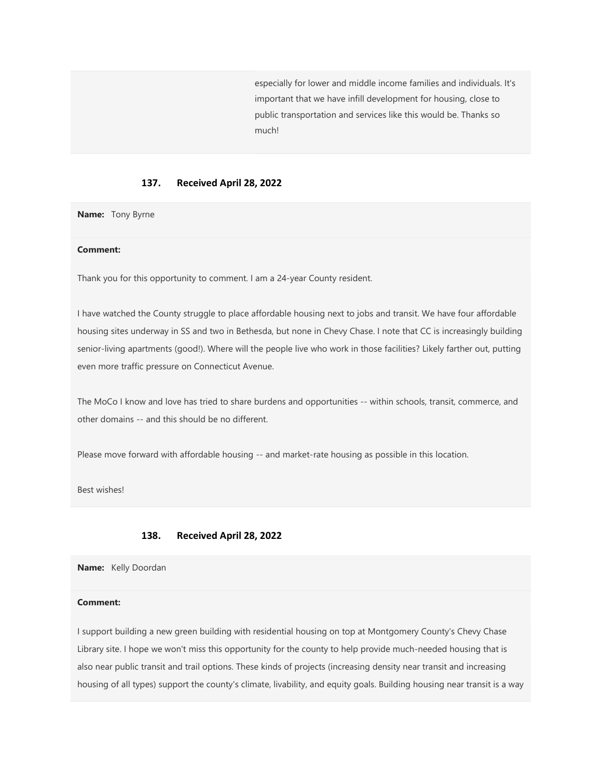especially for lower and middle income families and individuals. It's important that we have infill development for housing, close to public transportation and services like this would be. Thanks so much!

### 137. Received April 28, 2022

Name: Tony Byrne

## Comment:

Thank you for this opportunity to comment. I am a 24-year County resident.

I have watched the County struggle to place affordable housing next to jobs and transit. We have four affordable housing sites underway in SS and two in Bethesda, but none in Chevy Chase. I note that CC is increasingly building senior-living apartments (good!). Where will the people live who work in those facilities? Likely farther out, putting even more traffic pressure on Connecticut Avenue.

The MoCo I know and love has tried to share burdens and opportunities -- within schools, transit, commerce, and other domains -- and this should be no different.

Please move forward with affordable housing -- and market-rate housing as possible in this location.

Best wishes!

#### 138. Received April 28, 2022

Name: Kelly Doordan

#### Comment:

I support building a new green building with residential housing on top at Montgomery County's Chevy Chase Library site. I hope we won't miss this opportunity for the county to help provide much-needed housing that is also near public transit and trail options. These kinds of projects (increasing density near transit and increasing housing of all types) support the county's climate, livability, and equity goals. Building housing near transit is a way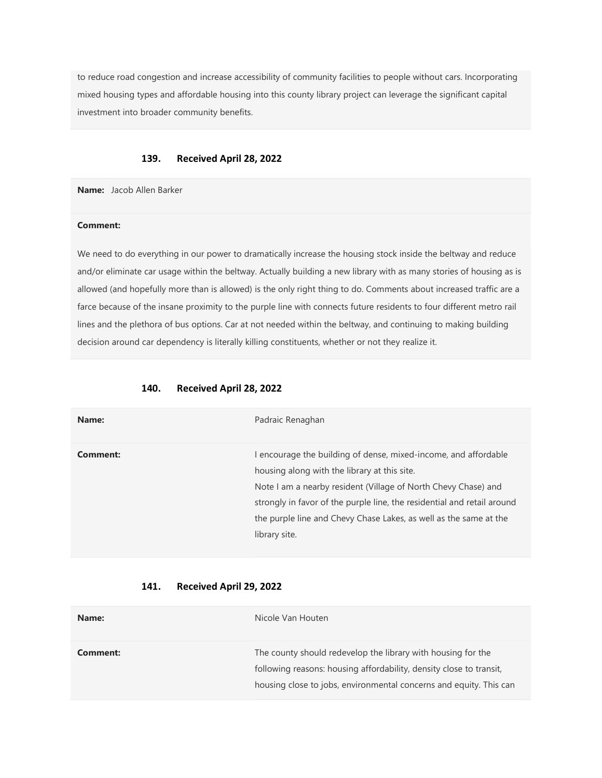to reduce road congestion and increase accessibility of community facilities to people without cars. Incorporating mixed housing types and affordable housing into this county library project can leverage the significant capital investment into broader community benefits.

#### 139. Received April 28, 2022

Name: Jacob Allen Barker

#### Comment:

We need to do everything in our power to dramatically increase the housing stock inside the beltway and reduce and/or eliminate car usage within the beltway. Actually building a new library with as many stories of housing as is allowed (and hopefully more than is allowed) is the only right thing to do. Comments about increased traffic are a farce because of the insane proximity to the purple line with connects future residents to four different metro rail lines and the plethora of bus options. Car at not needed within the beltway, and continuing to making building decision around car dependency is literally killing constituents, whether or not they realize it.

| Name:    | Padraic Renaghan                                                                                                                                                                                                                                                                                                                                 |
|----------|--------------------------------------------------------------------------------------------------------------------------------------------------------------------------------------------------------------------------------------------------------------------------------------------------------------------------------------------------|
| Comment: | encourage the building of dense, mixed-income, and affordable<br>housing along with the library at this site.<br>Note I am a nearby resident (Village of North Chevy Chase) and<br>strongly in favor of the purple line, the residential and retail around<br>the purple line and Chevy Chase Lakes, as well as the same at the<br>library site. |

| Name:    | Nicole Van Houten                                                                                                                                                                                         |
|----------|-----------------------------------------------------------------------------------------------------------------------------------------------------------------------------------------------------------|
| Comment: | The county should redevelop the library with housing for the<br>following reasons: housing affordability, density close to transit,<br>housing close to jobs, environmental concerns and equity. This can |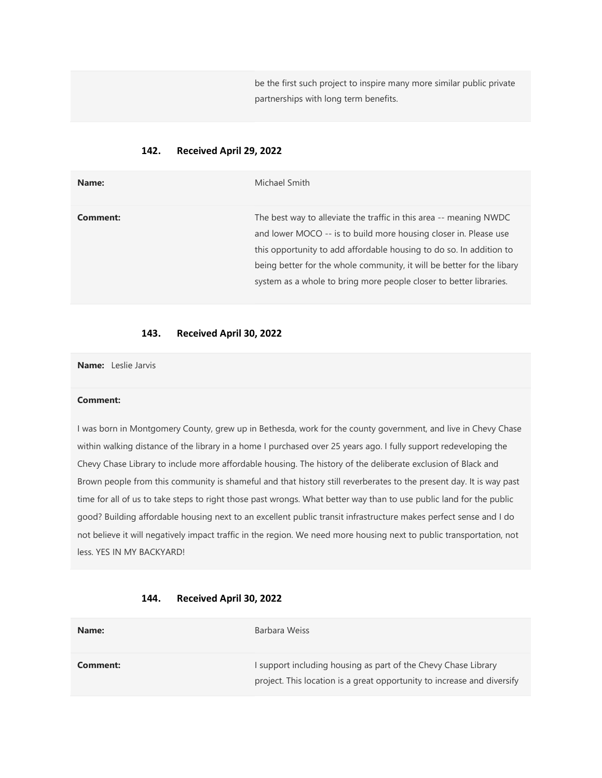be the first such project to inspire many more similar public private partnerships with long term benefits.

# 142. Received April 29, 2022

| Name:    | Michael Smith                                                                                                                                                                                                                                                                                                                                                 |
|----------|---------------------------------------------------------------------------------------------------------------------------------------------------------------------------------------------------------------------------------------------------------------------------------------------------------------------------------------------------------------|
| Comment: | The best way to alleviate the traffic in this area -- meaning NWDC<br>and lower MOCO -- is to build more housing closer in. Please use<br>this opportunity to add affordable housing to do so. In addition to<br>being better for the whole community, it will be better for the libary<br>system as a whole to bring more people closer to better libraries. |

## 143. Received April 30, 2022

Name: Leslie Jarvis

#### Comment:

I was born in Montgomery County, grew up in Bethesda, work for the county government, and live in Chevy Chase within walking distance of the library in a home I purchased over 25 years ago. I fully support redeveloping the Chevy Chase Library to include more affordable housing. The history of the deliberate exclusion of Black and Brown people from this community is shameful and that history still reverberates to the present day. It is way past time for all of us to take steps to right those past wrongs. What better way than to use public land for the public good? Building affordable housing next to an excellent public transit infrastructure makes perfect sense and I do not believe it will negatively impact traffic in the region. We need more housing next to public transportation, not less. YES IN MY BACKYARD!

#### 144. Received April 30, 2022

| Name:    | Barbara Weiss                                                                                                                             |
|----------|-------------------------------------------------------------------------------------------------------------------------------------------|
| Comment: | I support including housing as part of the Chevy Chase Library<br>project. This location is a great opportunity to increase and diversify |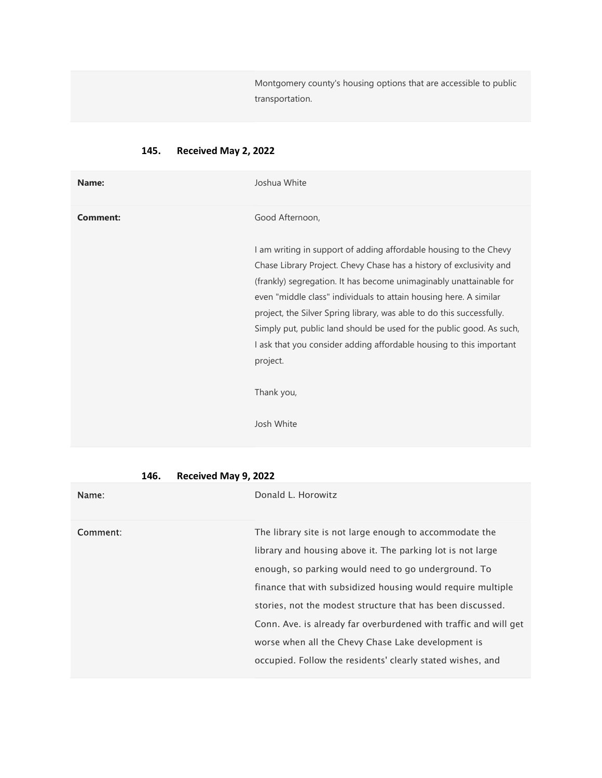Montgomery county's housing options that are accessible to public transportation.

| Name:           | Joshua White                                                                                                                                                                                                                                                                                                                                                                                                                                                                                                            |
|-----------------|-------------------------------------------------------------------------------------------------------------------------------------------------------------------------------------------------------------------------------------------------------------------------------------------------------------------------------------------------------------------------------------------------------------------------------------------------------------------------------------------------------------------------|
| <b>Comment:</b> | Good Afternoon,                                                                                                                                                                                                                                                                                                                                                                                                                                                                                                         |
|                 | I am writing in support of adding affordable housing to the Chevy<br>Chase Library Project. Chevy Chase has a history of exclusivity and<br>(frankly) segregation. It has become unimaginably unattainable for<br>even "middle class" individuals to attain housing here. A similar<br>project, the Silver Spring library, was able to do this successfully.<br>Simply put, public land should be used for the public good. As such,<br>I ask that you consider adding affordable housing to this important<br>project. |
|                 | Thank you,<br>Josh White                                                                                                                                                                                                                                                                                                                                                                                                                                                                                                |

# 145. Received May 2, 2022

| 146. | Received May 9, 2022 |  |  |
|------|----------------------|--|--|
|------|----------------------|--|--|

| Name:    | Donald L. Horowitz                                                                                                                                                                                                                                                                                                                                                            |
|----------|-------------------------------------------------------------------------------------------------------------------------------------------------------------------------------------------------------------------------------------------------------------------------------------------------------------------------------------------------------------------------------|
| Comment: | The library site is not large enough to accommodate the<br>library and housing above it. The parking lot is not large<br>enough, so parking would need to go underground. To<br>finance that with subsidized housing would require multiple<br>stories, not the modest structure that has been discussed.<br>Conn. Ave. is already far overburdened with traffic and will get |
|          | worse when all the Chevy Chase Lake development is<br>occupied. Follow the residents' clearly stated wishes, and                                                                                                                                                                                                                                                              |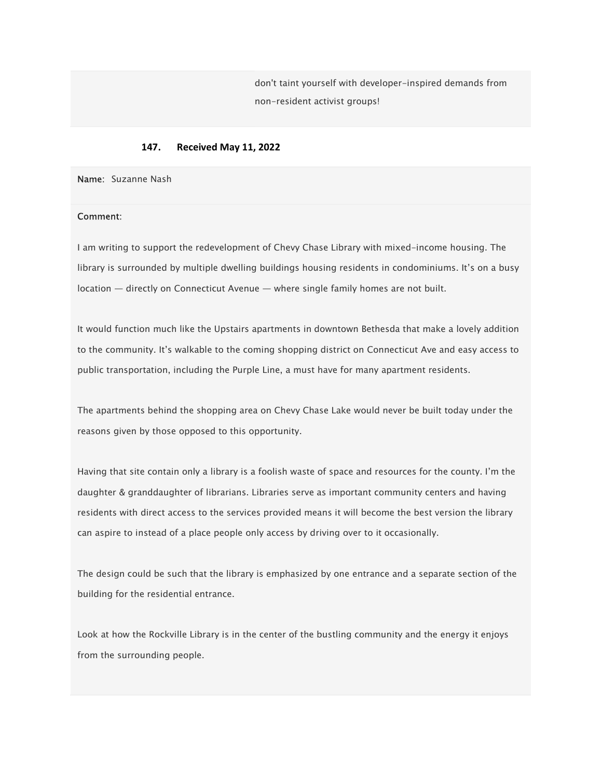don't taint yourself with developer-inspired demands from non-resident activist groups!

### 147. Received May 11, 2022

Name: Suzanne Nash

### Comment:

I am writing to support the redevelopment of Chevy Chase Library with mixed-income housing. The library is surrounded by multiple dwelling buildings housing residents in condominiums. It's on a busy location — directly on Connecticut Avenue — where single family homes are not built.

It would function much like the Upstairs apartments in downtown Bethesda that make a lovely addition to the community. It's walkable to the coming shopping district on Connecticut Ave and easy access to public transportation, including the Purple Line, a must have for many apartment residents.

The apartments behind the shopping area on Chevy Chase Lake would never be built today under the reasons given by those opposed to this opportunity.

Having that site contain only a library is a foolish waste of space and resources for the county. I'm the daughter & granddaughter of librarians. Libraries serve as important community centers and having residents with direct access to the services provided means it will become the best version the library can aspire to instead of a place people only access by driving over to it occasionally.

The design could be such that the library is emphasized by one entrance and a separate section of the building for the residential entrance.

Look at how the Rockville Library is in the center of the bustling community and the energy it enjoys from the surrounding people.